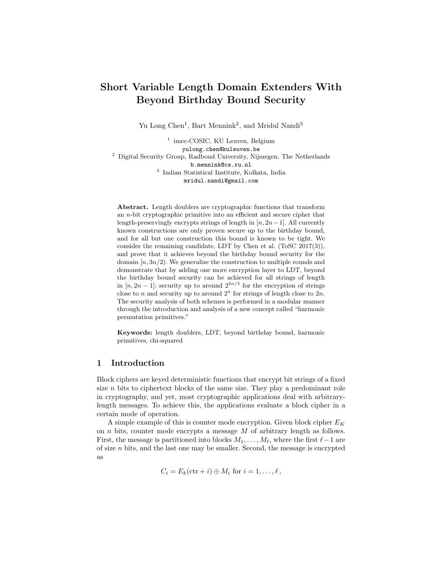# Short Variable Length Domain Extenders With Beyond Birthday Bound Security

Yu Long Chen<sup>1</sup>, Bart Mennink<sup>2</sup>, and Mridul Nandi<sup>3</sup>

<sup>1</sup> imec-COSIC, KU Leuven, Belgium yulong.chen@kuleuven.be <sup>2</sup> Digital Security Group, Radboud University, Nijmegen, The Netherlands b.mennink@cs.ru.nl 3 Indian Statistical Institute, Kolkata, India mridul.nandi@gmail.com

Abstract. Length doublers are cryptographic functions that transform an n-bit cryptographic primitive into an efficient and secure cipher that length-preservingly encrypts strings of length in  $[n, 2n-1]$ . All currently known constructions are only proven secure up to the birthday bound, and for all but one construction this bound is known to be tight. We consider the remaining candidate, LDT by Chen et al. (ToSC 2017(3)), and prove that it achieves beyond the birthday bound security for the domain  $[n, 3n/2]$ . We generalize the construction to multiple rounds and demonstrate that by adding one more encryption layer to LDT, beyond the birthday bound security can be achieved for all strings of length in  $[n, 2n-1]$ : security up to around  $2^{2n/3}$  for the encryption of strings close to n and security up to around  $2^n$  for strings of length close to  $2n$ . The security analysis of both schemes is performed in a modular manner through the introduction and analysis of a new concept called "harmonic permutation primitives."

Keywords: length doublers, LDT, beyond birthday bound, harmonic primitives, chi-squared

# 1 Introduction

Block ciphers are keyed deterministic functions that encrypt bit strings of a fixed size  $n$  bits to ciphertext blocks of the same size. They play a predominant role in cryptography, and yet, most cryptographic applications deal with arbitrarylength messages. To achieve this, the applications evaluate a block cipher in a certain mode of operation.

A simple example of this is counter mode encryption. Given block cipher  $E_K$ on  $n$  bits, counter mode encrypts a message  $M$  of arbitrary length as follows. First, the message is partitioned into blocks  $M_1, \ldots, M_\ell$ , where the first  $\ell-1$  are of size  $n$  bits, and the last one may be smaller. Second, the message is encrypted as

$$
C_i = E_k(\text{ctr} + i) \oplus M_i \text{ for } i = 1, \dots, \ell \,,
$$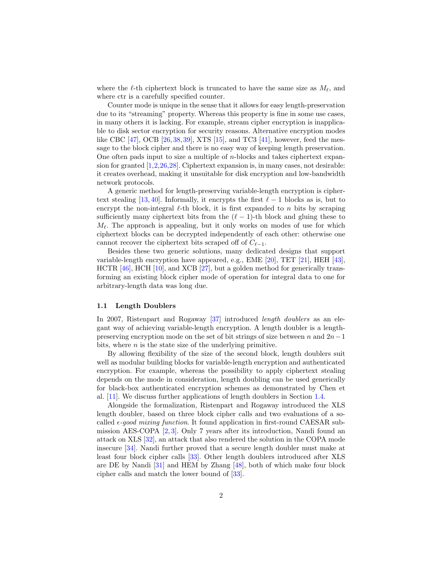where the  $\ell$ -th ciphertext block is truncated to have the same size as  $M_{\ell}$ , and where ctr is a carefully specified counter.

Counter mode is unique in the sense that it allows for easy length-preservation due to its "streaming" property. Whereas this property is fine in some use cases, in many others it is lacking. For example, stream cipher encryption is inapplicable to disk sector encryption for security reasons. Alternative encryption modes like CBC [\[47\]](#page-29-0), OCB [\[26,](#page-28-0)[38,](#page-29-1)[39\]](#page-29-2), XTS [\[15\]](#page-28-1), and TC3 [\[41\]](#page-29-3), however, feed the message to the block cipher and there is no easy way of keeping length preservation. One often pads input to size a multiple of n-blocks and takes ciphertext expansion for granted [\[1,](#page-27-0)[2,](#page-27-1)[26,](#page-28-0)[28\]](#page-28-2). Ciphertext expansion is, in many cases, not desirable: it creates overhead, making it unsuitable for disk encryption and low-bandwidth network protocols.

A generic method for length-preserving variable-length encryption is cipher-text stealing [\[13,](#page-28-3) [40\]](#page-29-4). Informally, it encrypts the first  $\ell - 1$  blocks as is, but to encrypt the non-integral  $\ell$ -th block, it is first expanded to n bits by scraping sufficiently many ciphertext bits from the  $(\ell - 1)$ -th block and gluing these to  $M_{\ell}$ . The approach is appealing, but it only works on modes of use for which ciphertext blocks can be decrypted independently of each other: otherwise one cannot recover the ciphertext bits scraped off of  $C_{\ell-1}$ .

Besides these two generic solutions, many dedicated designs that support variable-length encryption have appeared, e.g., EME [\[20\]](#page-28-4), TET [\[21\]](#page-28-5), HEH [\[43\]](#page-29-5), HCTR [\[46\]](#page-29-6), HCH [\[10\]](#page-27-2), and XCB [\[27\]](#page-28-6), but a golden method for generically transforming an existing block cipher mode of operation for integral data to one for arbitrary-length data was long due.

## 1.1 Length Doublers

In 2007, Ristenpart and Rogaway [\[37\]](#page-29-7) introduced *length doublers* as an elegant way of achieving variable-length encryption. A length doubler is a lengthpreserving encryption mode on the set of bit strings of size between n and  $2n-1$ bits, where  $n$  is the state size of the underlying primitive.

By allowing flexibility of the size of the second block, length doublers suit well as modular building blocks for variable-length encryption and authenticated encryption. For example, whereas the possibility to apply ciphertext stealing depends on the mode in consideration, length doubling can be used generically for black-box authenticated encryption schemes as demonstrated by Chen et al. [\[11\]](#page-27-3). We discuss further applications of length doublers in Section [1.4.](#page-4-0)

Alongside the formalization, Ristenpart and Rogaway introduced the XLS length doubler, based on three block cipher calls and two evaluations of a socalled  $\epsilon$ -good mixing function. It found application in first-round CAESAR submission AES-COPA [\[2,](#page-27-1) [3\]](#page-27-4). Only 7 years after its introduction, Nandi found an attack on XLS [\[32\]](#page-28-7), an attack that also rendered the solution in the COPA mode insecure [\[34\]](#page-29-8). Nandi further proved that a secure length doubler must make at least four block cipher calls [\[33\]](#page-29-9). Other length doublers introduced after XLS are DE by Nandi [\[31\]](#page-28-8) and HEM by Zhang [\[48\]](#page-29-10), both of which make four block cipher calls and match the lower bound of [\[33\]](#page-29-9).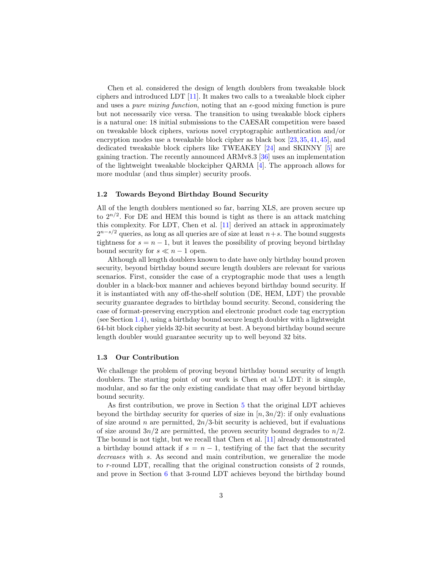Chen et al. considered the design of length doublers from tweakable block ciphers and introduced LDT [\[11\]](#page-27-3). It makes two calls to a tweakable block cipher and uses a *pure mixing function*, noting that an  $\epsilon$ -good mixing function is pure but not necessarily vice versa. The transition to using tweakable block ciphers is a natural one: 18 initial submissions to the CAESAR competition were based on tweakable block ciphers, various novel cryptographic authentication and/or encryption modes use a tweakable block cipher as black box [\[23,](#page-28-9) [35,](#page-29-11) [41,](#page-29-3) [45\]](#page-29-12), and dedicated tweakable block ciphers like TWEAKEY [\[24\]](#page-28-10) and SKINNY [\[5\]](#page-27-5) are gaining traction. The recently announced ARMv8.3 [\[36\]](#page-29-13) uses an implementation of the lightweight tweakable blockcipher QARMA [\[4\]](#page-27-6). The approach allows for more modular (and thus simpler) security proofs.

#### 1.2 Towards Beyond Birthday Bound Security

All of the length doublers mentioned so far, barring XLS, are proven secure up to  $2^{n/2}$ . For DE and HEM this bound is tight as there is an attack matching this complexity. For LDT, Chen et al. [\[11\]](#page-27-3) derived an attack in approximately  $2^{n-s/2}$  queries, as long as all queries are of size at least  $n+s$ . The bound suggests tightness for  $s = n - 1$ , but it leaves the possibility of proving beyond birthday bound security for  $s \ll n - 1$  open.

Although all length doublers known to date have only birthday bound proven security, beyond birthday bound secure length doublers are relevant for various scenarios. First, consider the case of a cryptographic mode that uses a length doubler in a black-box manner and achieves beyond birthday bound security. If it is instantiated with any off-the-shelf solution (DE, HEM, LDT) the provable security guarantee degrades to birthday bound security. Second, considering the case of format-preserving encryption and electronic product code tag encryption (see Section [1.4\)](#page-4-0), using a birthday bound secure length doubler with a lightweight 64-bit block cipher yields 32-bit security at best. A beyond birthday bound secure length doubler would guarantee security up to well beyond 32 bits.

#### 1.3 Our Contribution

We challenge the problem of proving beyond birthday bound security of length doublers. The starting point of our work is Chen et al.'s LDT: it is simple, modular, and so far the only existing candidate that may offer beyond birthday bound security.

As first contribution, we prove in Section [5](#page-11-0) that the original LDT achieves beyond the birthday security for queries of size in  $[n, 3n/2)$ : if only evaluations of size around n are permitted,  $2n/3$ -bit security is achieved, but if evaluations of size around  $3n/2$  are permitted, the proven security bound degrades to  $n/2$ . The bound is not tight, but we recall that Chen et al. [\[11\]](#page-27-3) already demonstrated a birthday bound attack if  $s = n - 1$ , testifying of the fact that the security decreases with s. As second and main contribution, we generalize the mode to r-round LDT, recalling that the original construction consists of 2 rounds, and prove in Section [6](#page-14-0) that 3-round LDT achieves beyond the birthday bound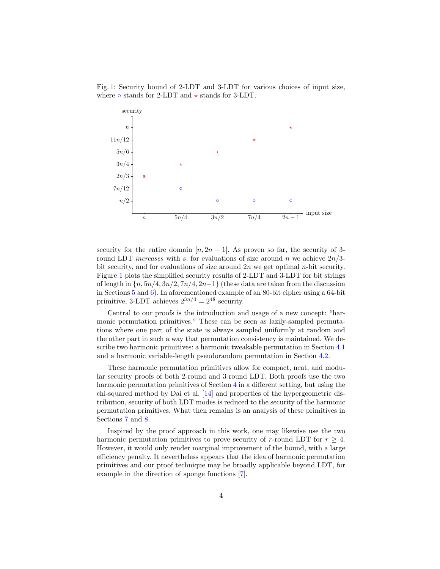<span id="page-3-0"></span>Fig. 1: Security bound of 2-LDT and 3-LDT for various choices of input size, where  $\circ$  stands for 2-LDT and  $\star$  stands for 3-LDT.



security for the entire domain  $[n, 2n-1]$ . As proven so far, the security of 3round LDT *increases* with s: for evaluations of size around n we achieve  $2n/3$ bit security, and for evaluations of size around  $2n$  we get optimal *n*-bit security. Figure [1](#page-3-0) plots the simplified security results of 2-LDT and 3-LDT for bit strings of length in  ${n, 5n/4, 3n/2, 7n/4, 2n-1}$  (these data are taken from the discussion in Sections [5](#page-11-0) and [6\)](#page-14-0). In aforementioned example of an 80-bit cipher using a 64-bit primitive, 3-LDT achieves  $2^{3n/4} = 2^{48}$  security.

Central to our proofs is the introduction and usage of a new concept: "harmonic permutation primitives." These can be seen as lazily-sampled permutations where one part of the state is always sampled uniformly at random and the other part in such a way that permutation consistency is maintained. We describe two harmonic primitives: a harmonic tweakable permutation in Section [4.1](#page-9-0) and a harmonic variable-length pseudorandom permutation in Section [4.2.](#page-10-0)

These harmonic permutation primitives allow for compact, neat, and modular security proofs of both 2-round and 3-round LDT. Both proofs use the two harmonic permutation primitives of Section [4](#page-9-1) in a different setting, but using the chi-squared method by Dai et al. [\[14\]](#page-28-11) and properties of the hypergeometric distribution, security of both LDT modes is reduced to the security of the harmonic permutation primitives. What then remains is an analysis of these primitives in Sections [7](#page-19-0) and [8.](#page-24-0)

Inspired by the proof approach in this work, one may likewise use the two harmonic permutation primitives to prove security of r-round LDT for  $r > 4$ . However, it would only render marginal improvement of the bound, with a large efficiency penalty. It nevertheless appears that the idea of harmonic permutation primitives and our proof technique may be broadly applicable beyond LDT, for example in the direction of sponge functions [\[7\]](#page-27-7).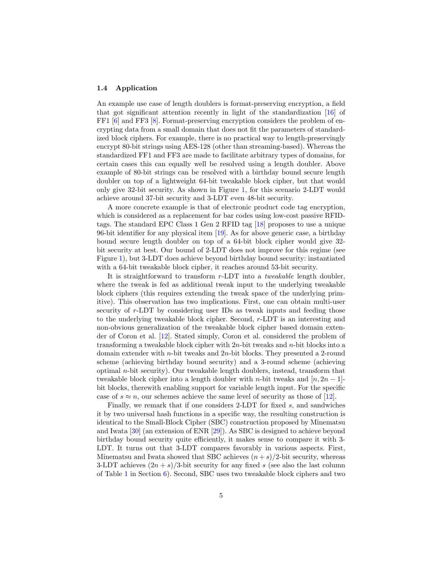#### <span id="page-4-0"></span>1.4 Application

An example use case of length doublers is format-preserving encryption, a field that got significant attention recently in light of the standardization [\[16\]](#page-28-12) of FF1 [\[6\]](#page-27-8) and FF3 [\[8\]](#page-27-9). Format-preserving encryption considers the problem of encrypting data from a small domain that does not fit the parameters of standardized block ciphers. For example, there is no practical way to length-preservingly encrypt 80-bit strings using AES-128 (other than streaming-based). Whereas the standardized FF1 and FF3 are made to facilitate arbitrary types of domains, for certain cases this can equally well be resolved using a length doubler. Above example of 80-bit strings can be resolved with a birthday bound secure length doubler on top of a lightweight 64-bit tweakable block cipher, but that would only give 32-bit security. As shown in Figure [1,](#page-3-0) for this scenario 2-LDT would achieve around 37-bit security and 3-LDT even 48-bit security.

A more concrete example is that of electronic product code tag encryption, which is considered as a replacement for bar codes using low-cost passive RFIDtags. The standard EPC Class 1 Gen 2 RFID tag [\[18\]](#page-28-13) proposes to use a unique 96-bit identifier for any physical item [\[19\]](#page-28-14). As for above generic case, a birthday bound secure length doubler on top of a 64-bit block cipher would give 32 bit security at best. Our bound of 2-LDT does not improve for this regime (see Figure [1\)](#page-3-0), but 3-LDT does achieve beyond birthday bound security: instantiated with a 64-bit tweakable block cipher, it reaches around 53-bit security.

It is straightforward to transform  $r$ -LDT into a *tweakable* length doubler, where the tweak is fed as additional tweak input to the underlying tweakable block ciphers (this requires extending the tweak space of the underlying primitive). This observation has two implications. First, one can obtain multi-user security of r-LDT by considering user IDs as tweak inputs and feeding those to the underlying tweakable block cipher. Second, r-LDT is an interesting and non-obvious generalization of the tweakable block cipher based domain extender of Coron et al. [\[12\]](#page-28-15). Stated simply, Coron et al. considered the problem of transforming a tweakable block cipher with  $2n$ -bit tweaks and n-bit blocks into a domain extender with n-bit tweaks and 2n-bit blocks. They presented a 2-round scheme (achieving birthday bound security) and a 3-round scheme (achieving optimal n-bit security). Our tweakable length doublers, instead, transform that tweakable block cipher into a length doubler with n-bit tweaks and  $[n, 2n-1]$ bit blocks, therewith enabling support for variable length input. For the specific case of  $s \approx n$ , our schemes achieve the same level of security as those of [\[12\]](#page-28-15).

Finally, we remark that if one considers 2-LDT for fixed s, and sandwiches it by two universal hash functions in a specific way, the resulting construction is identical to the Small-Block Cipher (SBC) construction proposed by Minematsu and Iwata [\[30\]](#page-28-16) (an extension of ENR [\[29\]](#page-28-17)). As SBC is designed to achieve beyond birthday bound security quite efficiently, it makes sense to compare it with 3- LDT. It turns out that 3-LDT compares favorably in various aspects. First, Minematsu and Iwata showed that SBC achieves  $(n + s)/2$ -bit security, whereas 3-LDT achieves  $(2n + s)/3$ -bit security for any fixed s (see also the last column of Table [1](#page-16-0) in Section [6\)](#page-14-0). Second, SBC uses two tweakable block ciphers and two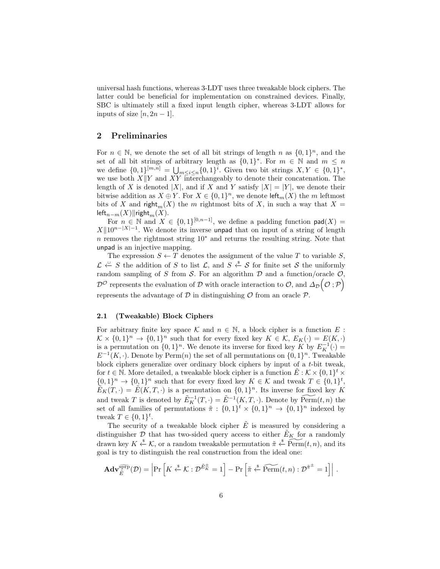universal hash functions, whereas 3-LDT uses three tweakable block ciphers. The latter could be beneficial for implementation on constrained devices. Finally, SBC is ultimately still a fixed input length cipher, whereas 3-LDT allows for inputs of size  $[n, 2n-1]$ .

## 2 Preliminaries

For  $n \in \mathbb{N}$ , we denote the set of all bit strings of length n as  $\{0,1\}^n$ , and the set of all bit strings of arbitrary length as  $\{0,1\}^*$ . For  $m \in \mathbb{N}$  and  $m \leq n$ we define  $\{0,1\}^{[m,n]} = \bigcup_{m \leq i \leq n} \{0,1\}^i$ . Given two bit strings  $X, Y \in \{0,1\}^*,$ we use both  $X||Y$  and XY interchangeably to denote their concatenation. The length of X is denoted |X|, and if X and Y satisfy  $|X| = |Y|$ , we denote their bitwise addition as  $X \oplus Y$ . For  $X \in \{0,1\}^n$ , we denote  $\operatorname{\sf left}_m(X)$  the m leftmost bits of X and right<sub>m</sub> $(X)$  the m rightmost bits of X, in such a way that  $X =$ left<sub>n−m</sub>(X)||right<sub>m</sub>(X).

For  $n \in \mathbb{N}$  and  $X \in \{0,1\}^{[0,n-1]}$ , we define a padding function pad $(X)$  $X||10^{n-|X|-1}$ . We denote its inverse unpad that on input of a string of length n removes the rightmost string  $10<sup>*</sup>$  and returns the resulting string. Note that unpad is an injective mapping.

The expression  $S \leftarrow T$  denotes the assignment of the value T to variable S,  $\mathcal{L} \stackrel{\cup}{\leftarrow} S$  the addition of S to list  $\mathcal{L}$ , and  $S \stackrel{\$}{\leftarrow} S$  for finite set S the uniformly random sampling of S from S. For an algorithm  $\mathcal D$  and a function/oracle  $\mathcal O$ ,  $\mathcal{D}^{\mathcal{O}}$  represents the evaluation of  $\mathcal D$  with oracle interaction to  $\mathcal{O}$ , and  $\Delta_{\mathcal{D}}(\mathcal{O};\mathcal{P})$ represents the advantage of  $D$  in distinguishing  $O$  from an oracle  $\mathcal{P}$ .

#### <span id="page-5-0"></span>2.1 (Tweakable) Block Ciphers

For arbitrary finite key space K and  $n \in \mathbb{N}$ , a block cipher is a function E:  $\mathcal{K} \times \{0,1\}^n \to \{0,1\}^n$  such that for every fixed key  $K \in \mathcal{K}$ ,  $E_K(\cdot) = E(K, \cdot)$ is a permutation on  $\{0,1\}^n$ . We denote its inverse for fixed key K by  $E_K^{-1}(\cdot)$  =  $E^{-1}(K, \cdot)$ . Denote by Perm $(n)$  the set of all permutations on  $\{0, 1\}^n$ . Tweakable block ciphers generalize over ordinary block ciphers by input of a  $t$ -bit tweak, for  $t \in \mathbb{N}$ . More detailed, a tweakable block cipher is a function  $\tilde{E}: \mathcal{K} \times \{0,1\}^t \times$  $\{0,1\}^n \to \{0,1\}^n$  such that for every fixed key  $K \in \mathcal{K}$  and tweak  $T \in \{0,1\}^t$ ,  $\widetilde{E}_K(T, \cdot) = \widetilde{E}(K, T, \cdot)$  is a permutation on  $\{0, 1\}^n$ . Its inverse for fixed key K and tweak T is denoted by  $\tilde{E}_K^{-1}(T, \cdot) = \tilde{E}^{-1}(K, T, \cdot)$ . Denote by  $\widetilde{\text{Perm}}(t, n)$  the set of all families of permutations  $\tilde{\pi} : \{0,1\}^t \times \{0,1\}^n \to \{0,1\}^n$  indexed by tweak  $T \in \{0,1\}^t$ .

The security of a tweakable block cipher  $\tilde{E}$  is measured by considering a distinguisher  $D$  that has two-sided query access to either  $E_K$  for a randomly drawn key  $K \stackrel{\text{s}}{\leftarrow} \mathcal{K}$ , or a random tweakable permutation  $\tilde{\pi} \stackrel{\text{s}}{\leftarrow} \widetilde{\text{Perm}}(t,n)$ , and its goal is try to distinguish the real construction from the ideal one:

$$
\mathbf{Adv}_{\tilde{E}}^{\widetilde{\text{prp}}}(\mathcal{D}) = \left| \Pr \left[ K \stackrel{\text{s}}{\leftarrow} \mathcal{K} : \mathcal{D}^{\tilde{E}_{K}^{\pm}} = 1 \right] - \Pr \left[ \tilde{\pi} \stackrel{\text{s}}{\leftarrow} \widetilde{\text{Perm}}(t, n) : \mathcal{D}^{\tilde{\pi}^{\pm}} = 1 \right] \right|.
$$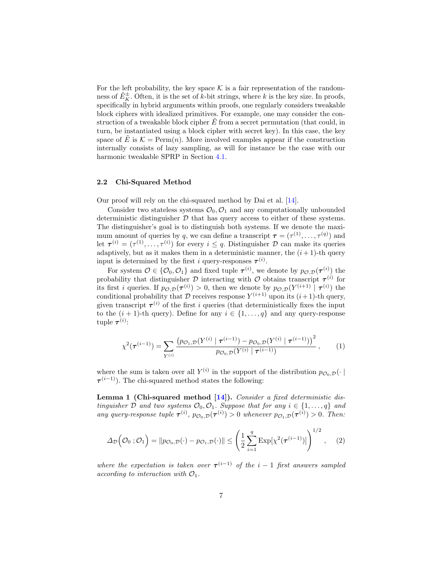For the left probability, the key space  $K$  is a fair representation of the randomness of  $E_K^{\pm}$ . Often, it is the set of k-bit strings, where k is the key size. In proofs, specifically in hybrid arguments within proofs, one regularly considers tweakable block ciphers with idealized primitives. For example, one may consider the construction of a tweakable block cipher  $\hat{E}$  from a secret permutation (that could, in turn, be instantiated using a block cipher with secret key). In this case, the key space of E is  $\mathcal{K} = \text{Perm}(n)$ . More involved examples appear if the construction internally consists of lazy sampling, as will for instance be the case with our harmonic tweakable SPRP in Section [4.1.](#page-9-0)

#### <span id="page-6-0"></span>2.2 Chi-Squared Method

Our proof will rely on the chi-squared method by Dai et al. [\[14\]](#page-28-11).

Consider two stateless systems  $\mathcal{O}_0$ ,  $\mathcal{O}_1$  and any computationally unbounded deterministic distinguisher  $D$  that has query access to either of these systems. The distinguisher's goal is to distinguish both systems. If we denote the maximum amount of queries by q, we can define a transcript  $\boldsymbol{\tau} = (\tau^{(1)}, \ldots, \tau^{(q)})$  and let  $\tau^{(i)} = (\tau^{(1)}, \ldots, \tau^{(i)})$  for every  $i \leq q$ . Distinguisher  $\mathcal{D}$  can make its queries adaptively, but as it makes them in a deterministic manner, the  $(i + 1)$ -th query input is determined by the first *i* query-responses  $\tau^{(i)}$ .

For system  $\mathcal{O} \in \{ \mathcal{O}_0, \mathcal{O}_1 \}$  and fixed tuple  $\tau^{(i)}$ , we denote by  $p_{\mathcal{O},\mathcal{D}}(\tau^{(i)})$  the probability that distinguisher  $\mathcal D$  interacting with  $\mathcal O$  obtains transcript  $\tau^{(i)}$  for its first *i* queries. If  $p_{\mathcal{O},\mathcal{D}}(\tau^{(i)}) > 0$ , then we denote by  $p_{\mathcal{O},\mathcal{D}}(Y^{(i+1)} | \tau^{(i)})$  the conditional probability that  $\mathcal D$  receives response  $Y^{(i+1)}$  upon its  $(i+1)$ -th query, given transcript  $\tau^{(i)}$  of the first i queries (that deterministically fixes the input to the  $(i + 1)$ -th query). Define for any  $i \in \{1, \ldots, q\}$  and any query-response tuple  $\boldsymbol{\tau}^{(i)}$ :

<span id="page-6-2"></span><span id="page-6-1"></span>
$$
\chi^{2}(\boldsymbol{\tau}^{(i-1)}) = \sum_{Y^{(i)}} \frac{\left(p_{\mathcal{O}_{1},\mathcal{D}}(Y^{(i)} \mid \boldsymbol{\tau}^{(i-1)}) - p_{\mathcal{O}_{0},\mathcal{D}}(Y^{(i)} \mid \boldsymbol{\tau}^{(i-1)})\right)^{2}}{p_{\mathcal{O}_{0},\mathcal{D}}(Y^{(i)} \mid \boldsymbol{\tau}^{(i-1)})},\qquad(1)
$$

where the sum is taken over all  $Y^{(i)}$  in the support of the distribution  $p_{\mathcal{O}_0,\mathcal{D}}(\cdot | \cdot |)$  $\tau^{(i-1)}$ ). The chi-squared method states the following:

**Lemma 1 (Chi-squared method [\[14\]](#page-28-11)).** Consider a fixed deterministic distinguisher D and two systems  $\mathcal{O}_0$ ,  $\mathcal{O}_1$ . Suppose that for any  $i \in \{1, ..., q\}$  and any query-response tuple  $\tau^{(i)}$ ,  $p_{\mathcal{O}_0,\mathcal{D}}(\tau^{(i)}) > 0$  whenever  $p_{\mathcal{O}_1,\mathcal{D}}(\tau^{(i)}) > 0$ . Then:

$$
\Delta_{\mathcal{D}}\left(\mathcal{O}_{0}:\mathcal{O}_{1}\right)=\|p_{\mathcal{O}_{0},\mathcal{D}}(\cdot)-p_{\mathcal{O}_{1},\mathcal{D}}(\cdot)\|\leq\left(\frac{1}{2}\sum_{i=1}^{q}\text{Exp}[\chi^{2}(\boldsymbol{\tau}^{(i-1)})]\right)^{1/2},\quad(2)
$$

where the expectation is taken over  $\tau^{(i-1)}$  of the i - 1 first answers sampled according to interaction with  $\mathcal{O}_1$ .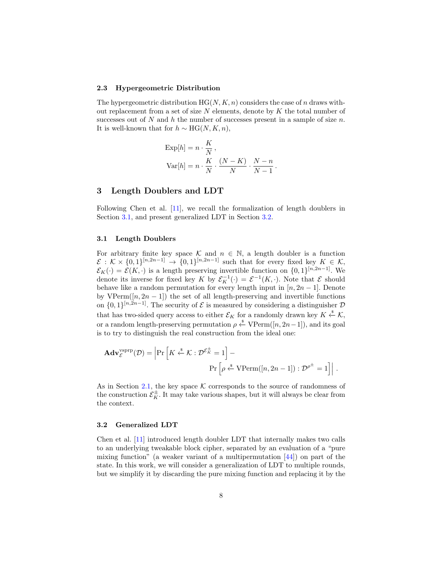#### <span id="page-7-2"></span>2.3 Hypergeometric Distribution

The hypergeometric distribution  $HG(N, K, n)$  considers the case of n draws without replacement from a set of size N elements, denote by  $K$  the total number of successes out of N and h the number of successes present in a sample of size  $n$ . It is well-known that for  $h \sim \text{HG}(N, K, n)$ ,

$$
\text{Exp}[h] = n \cdot \frac{K}{N},
$$
  
\n
$$
\text{Var}[h] = n \cdot \frac{K}{N} \cdot \frac{(N-K)}{N} \cdot \frac{N-n}{N-1}.
$$

#### 3 Length Doublers and LDT

Following Chen et al. [\[11\]](#page-27-3), we recall the formalization of length doublers in Section [3.1,](#page-7-0) and present generalized LDT in Section [3.2.](#page-7-1)

#### <span id="page-7-0"></span>3.1 Length Doublers

For arbitrary finite key space K and  $n \in \mathbb{N}$ , a length doubler is a function  $\mathcal{E}: \mathcal{K} \times \{0,1\}^{[n,2n-1]} \to \{0,1\}^{[n,2n-1]}$  such that for every fixed key  $K \in \mathcal{K}$ ,  $\mathcal{E}_K(\cdot) = \mathcal{E}(K, \cdot)$  is a length preserving invertible function on  $\{0, 1\}^{[n, 2n-1]}$ . We denote its inverse for fixed key K by  $\mathcal{E}_K^{-1}(\cdot) = \mathcal{E}^{-1}(K, \cdot)$ . Note that  $\mathcal E$  should behave like a random permutation for every length input in  $[n, 2n-1]$ . Denote by VPerm( $[n, 2n - 1]$ ) the set of all length-preserving and invertible functions on  $\{0,1\}^{[n,2n-1]}$ . The security of  $\mathcal E$  is measured by considering a distinguisher  $\mathcal D$ that has two-sided query access to either  $\mathcal{E}_K$  for a randomly drawn key  $K \stackrel{\$}{\leftarrow} \mathcal{K}$ , or a random length-preserving permutation  $\rho \stackrel{\text{*}}{\leftarrow} \text{VPerm}([n, 2n-1]),$  and its goal is to try to distinguish the real construction from the ideal one:

$$
\mathbf{Adv}_{\mathcal{E}}^{\text{vsprp}}(\mathcal{D}) = \left| \Pr \left[ K \stackrel{\text{s}}{\leftarrow} \mathcal{K} : \mathcal{D}^{\mathcal{E}_K^{\pm}} = 1 \right] - \right. \\
\left. \Pr \left[ \rho \stackrel{\text{s}}{\leftarrow} \text{VPerm}([n, 2n - 1]) : \mathcal{D}^{\rho^{\pm}} = 1 \right] \right| \,.
$$

As in Section [2.1,](#page-5-0) the key space  $K$  corresponds to the source of randomness of the construction  $\mathcal{E}_K^{\pm}$ . It may take various shapes, but it will always be clear from the context.

#### <span id="page-7-1"></span>3.2 Generalized LDT

Chen et al. [\[11\]](#page-27-3) introduced length doubler LDT that internally makes two calls to an underlying tweakable block cipher, separated by an evaluation of a "pure mixing function" (a weaker variant of a multipermutation  $[44]$ ) on part of the state. In this work, we will consider a generalization of LDT to multiple rounds, but we simplify it by discarding the pure mixing function and replacing it by the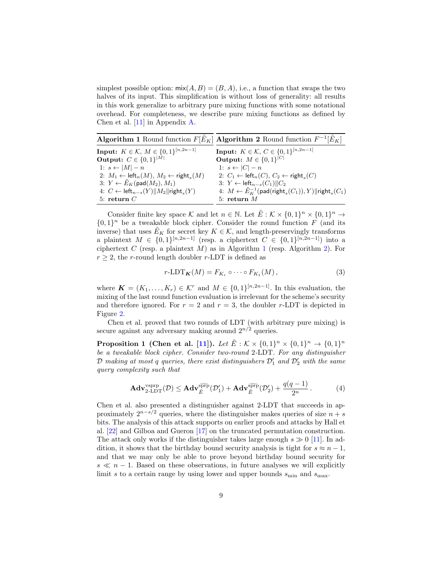simplest possible option:  $mix(A, B) = (B, A)$ , i.e., a function that swaps the two halves of its input. This simplification is without loss of generality: all results in this work generalize to arbitrary pure mixing functions with some notational overhead. For completeness, we describe pure mixing functions as defined by Chen et al. [\[11\]](#page-27-3) in Appendix [A.](#page-26-0)

<span id="page-8-1"></span><span id="page-8-0"></span>

|                                                                        | <b>Algorithm 1</b> Round function $F[\tilde{E}_K]$ <b>Algorithm 2</b> Round function $F^{-1}[\tilde{E}_K]$ |
|------------------------------------------------------------------------|------------------------------------------------------------------------------------------------------------|
| Input: $K \in \mathcal{K}, M \in \{0,1\}^{[n,2n-1]}$                   | Input: $K \in \mathcal{K}, C \in \{0,1\}^{[n,2n-1]}$                                                       |
| <b>Output:</b> $C \in \{0, 1\}^{ M }$                                  | <b>Output:</b> $M \in \{0, 1\}^{ C }$                                                                      |
| 1: $s \leftarrow  M  - n$                                              | 1: $s \leftarrow  C  - n$                                                                                  |
| 2: $M_1 \leftarrow \text{left}_n(M), M_2 \leftarrow \text{right}_s(M)$ | 2: $C_1 \leftarrow$ left <sub>n</sub> $(C)$ , $C_2 \leftarrow$ right <sub>s</sub> $(C)$                    |
| 3: $Y \leftarrow \tilde{E}_K(\text{pad}(M_2), M_1)$                    | 3: $Y \leftarrow \text{left}_{n-s}(C_1)    C_2$                                                            |
| 4: $C \leftarrow \text{left}_{n-s}(Y)   M_2   \text{right}_s(Y)$       | 4: $M \leftarrow \tilde{E}_K^{-1}(\text{pad}(right_s(C_1)), Y)  \text{right}_s(C_1))$                      |
| 5: return $C$                                                          | 5: return $M$                                                                                              |

Consider finite key space K and let  $n \in \mathbb{N}$ . Let  $\tilde{E}: \mathcal{K} \times \{0,1\}^n \times \{0,1\}^n \to$  $\{0,1\}^n$  be a tweakable block cipher. Consider the round function F (and its inverse) that uses  $\tilde{E}_K$  for secret key  $K \in \mathcal{K}$ , and length-preservingly transforms a plaintext  $M \in \{0,1\}^{[n,2n-1]}$  (resp. a ciphertext  $C \in \{0,1\}^{[n,2n-1]}$ ) into a ciphertext  $C$  (resp. a plaintext  $M$ ) as in Algorithm [1](#page-8-0) (resp. Algorithm [2\)](#page-8-1). For  $r \geq 2$ , the r-round length doubler r-LDT is defined as

$$
r\text{-}LDT_{\mathbf{K}}(M) = F_{K_r} \circ \cdots \circ F_{K_1}(M) ,\qquad (3)
$$

where  $\mathbf{K} = (K_1, \ldots, K_r) \in \mathcal{K}^r$  and  $M \in \{0,1\}^{[n,2n-1]}$ . In this evaluation, the mixing of the last round function evaluation is irrelevant for the scheme's security and therefore ignored. For  $r = 2$  and  $r = 3$ , the doubler r-LDT is depicted in Figure [2.](#page-9-2)

Chen et al. proved that two rounds of LDT (with arbitrary pure mixing) is secure against any adversary making around  $2^{n/2}$  queries.

Proposition 1 (Chen et al. [\[11\]](#page-27-3)). Let  $\tilde{E}: \mathcal{K} \times \{0,1\}^n \times \{0,1\}^n \rightarrow \{0,1\}^n$ be a tweakable block cipher. Consider two-round 2-LDT. For any distinguisher  ${\cal D}$  making at most q queries, there exist distinguishers  ${\cal D}'_1$  and  ${\cal D}'_2$  with the same query complexity such that

$$
\mathbf{Adv}_{2\text{-LDT}}^{\text{vsprp}}(\mathcal{D}) \leq \mathbf{Adv}_{\tilde{E}}^{\widetilde{\text{sprp}}}(\mathcal{D}'_1) + \mathbf{Adv}_{\tilde{E}}^{\widetilde{\text{sprp}}}(\mathcal{D}'_2) + \frac{q(q-1)}{2^n}.
$$
 (4)

Chen et al. also presented a distinguisher against 2-LDT that succeeds in approximately  $2^{n-s/2}$  queries, where the distinguisher makes queries of size  $n + s$ bits. The analysis of this attack supports on earlier proofs and attacks by Hall et al. [\[22\]](#page-28-18) and Gilboa and Gueron [\[17\]](#page-28-19) on the truncated permutation construction. The attack only works if the distinguisher takes large enough  $s \gg 0$  [\[11\]](#page-27-3). In addition, it shows that the birthday bound security analysis is tight for  $s \approx n-1$ , and that we may only be able to prove beyond birthday bound security for  $s \ll n - 1$ . Based on these observations, in future analyses we will explicitly limit s to a certain range by using lower and upper bounds  $s_{\min}$  and  $s_{\max}$ .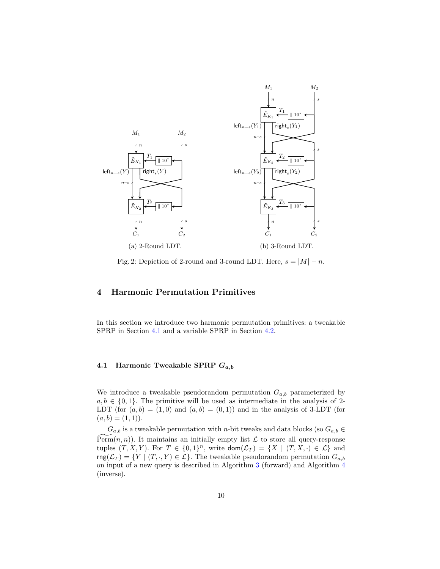<span id="page-9-2"></span>

Fig. 2: Depiction of 2-round and 3-round LDT. Here,  $s = |M| - n$ .

# <span id="page-9-1"></span>4 Harmonic Permutation Primitives

In this section we introduce two harmonic permutation primitives: a tweakable SPRP in Section [4.1](#page-9-0) and a variable SPRP in Section [4.2.](#page-10-0)

#### <span id="page-9-0"></span>4.1 Harmonic Tweakable SPRP  $G_{a,b}$

We introduce a tweakable pseudorandom permutation  $G_{a,b}$  parameterized by  $a, b \in \{0, 1\}$ . The primitive will be used as intermediate in the analysis of 2-LDT (for  $(a, b) = (1, 0)$  and  $(a, b) = (0, 1)$ ) and in the analysis of 3-LDT (for  $(a, b) = (1, 1).$ 

 $G_{a,b}$  is a tweakable permutation with *n*-bit tweaks and data blocks (so  $G_{a,b} \in$ Perm $(n, n)$ ). It maintains an initially empty list  $\mathcal L$  to store all query-response tuples  $(T, X, Y)$ . For  $T \in \{0, 1\}^n$ , write  $\text{dom}(\mathcal{L}_T) = \{X \mid (T, X, \cdot) \in \mathcal{L}\}\$ and  $\text{rng}(\mathcal{L}_T) = \{Y \mid (T, \cdot, Y) \in \mathcal{L}\}.$  The tweakable pseudorandom permutation  $G_{a,b}$ on input of a new query is described in Algorithm [3](#page-10-1) (forward) and Algorithm [4](#page-10-2) (inverse).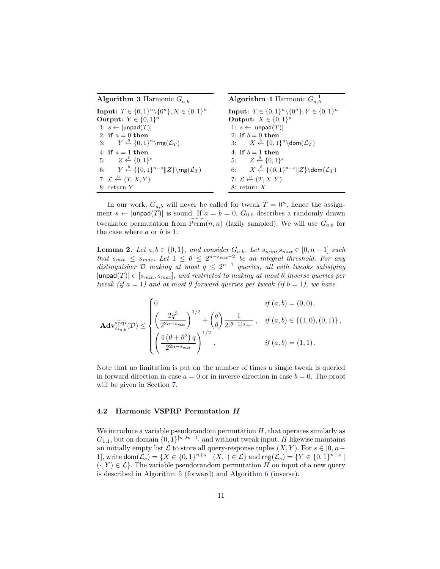<span id="page-10-2"></span><span id="page-10-1"></span>

| <b>Algorithm 4</b> Harmonic $G_{a,b}^{-1}$<br><b>Algorithm 3</b> Harmonic $G_{a,b}$ |                                                                                |
|-------------------------------------------------------------------------------------|--------------------------------------------------------------------------------|
| Input: $T \in \{0,1\}^n \setminus \{0^n\}, X \in \{0,1\}^n$                         | Input: $T \in \{0,1\}^n \setminus \{0^n\}, Y \in \{0,1\}^n$                    |
| Output: $Y \in \{0,1\}^n$                                                           | Output: $X \in \{0,1\}^n$                                                      |
| 1: $s \leftarrow  \text{unpad}(T) $                                                 | 1: $s \leftarrow  \text{unpad}(T) $                                            |
| 2: if $a=0$ then                                                                    | 2: if $b=0$ then                                                               |
| 3: $Y \stackrel{\$}{\leftarrow} \{0,1\}^n \setminus \text{rng}(\mathcal{L}_T)$      | 3: $X \stackrel{\$}{\leftarrow} \{0,1\}^n \setminus \text{dom}(\mathcal{L}_T)$ |
| 4: if $a=1$ then                                                                    | 4: if $b=1$ then                                                               |
| 5: $Z \xleftarrow{\$} \{0,1\}^s$                                                    | 5: $Z \stackrel{\$}{\leftarrow} \{0,1\}^s$                                     |
| 6: $Y \stackrel{\$}{\leftarrow} \{ \{0,1\}^{n-s}  Z\} \text{rng}(\mathcal{L}_T)$    | 6: $X \stackrel{\$}{\downarrow} \{0,1\}^{n-s}  Z\}\text{dom}(\mathcal{L}_T)$   |
| 7: $\mathcal{L} \leftarrow (T, X, Y)$                                               | 7: $\mathcal{L} \leftarrow (T, X, Y)$                                          |
| 8: return $Y$                                                                       | 8: return $X$                                                                  |

In our work,  $G_{a,b}$  will never be called for tweak  $T = 0^n$ , hence the assignment  $s \leftarrow$  |unpad(T)| is sound. If  $a = b = 0$ ,  $G_{0,0}$  describes a randomly drawn tweakable permutation from  $\text{Perm}(n, n)$  (lazily sampled). We will use  $G_{a,b}$  for the case where  $a$  or  $b$  is 1.

<span id="page-10-3"></span>**Lemma 2.** Let  $a, b \in \{0, 1\}$ , and consider  $G_{a,b}$ . Let  $s_{min}, s_{max} \in [0, n-1]$  such that  $s_{min} \leq s_{max}$ . Let  $1 \leq \theta \leq 2^{n-s_{max}-2}$  be an integral threshold. For any distinguisher  $D$  making at most  $q \leq 2^{n-1}$  queries, all with tweaks satisfying  $|\text{unpad}(T)| \in [s_{min}, s_{max}]$ , and restricted to making at most  $\theta$  inverse queries per tweak (if  $a = 1$ ) and at most  $\theta$  forward queries per tweak (if  $b = 1$ ), we have

$$
\mathbf{Adv}_{G_{a,b}}^{\text{SPTp}}(\mathcal{D}) \leq \begin{cases} 0 & \text{if } (a,b) = (0,0), \\ \left(\frac{2q^3}{2^{2n - s_{max}}}\right)^{1/2} + {q \choose \theta} \frac{1}{2^{(\theta - 1)s_{min}}}, & \text{if } (a,b) \in \{ (1,0), (0,1) \}, \\ \left(\frac{4\left(\theta + \theta^2\right)q}{2^{2n - s_{max}}}\right)^{1/2}, & \text{if } (a,b) = (1,1). \end{cases}
$$

Note that no limitation is put on the number of times a single tweak is queried in forward direction in case  $a = 0$  or in inverse direction in case  $b = 0$ . The proof will be given in Section [7.](#page-19-0)

#### <span id="page-10-0"></span>4.2 Harmonic VSPRP Permutation H

We introduce a variable pseudorandom permutation  $H$ , that operates similarly as  $G_{1,1}$ , but on domain  $\{0,1\}^{[n,2n-1]}$  and without tweak input. H likewise maintains an initially empty list  $\mathcal L$  to store all query-response tuples  $(X, Y)$ . For  $s \in [0, n-$ 1], write  $\textsf{dom}(\mathcal{L}_s) = \{X \in \{0,1\}^{n+s} \mid (X, \cdot) \in \mathcal{L}\}\$  and  $\textsf{rng}(\mathcal{L}_s) = \{Y \in \{0,1\}^{n+s} \mid (X, \cdot) \in \mathcal{L}\}\$  $(\cdot, Y) \in \mathcal{L}$ . The variable pseudorandom permutation H on input of a new query is described in Algorithm [5](#page-11-1) (forward) and Algorithm [6](#page-11-2) (inverse).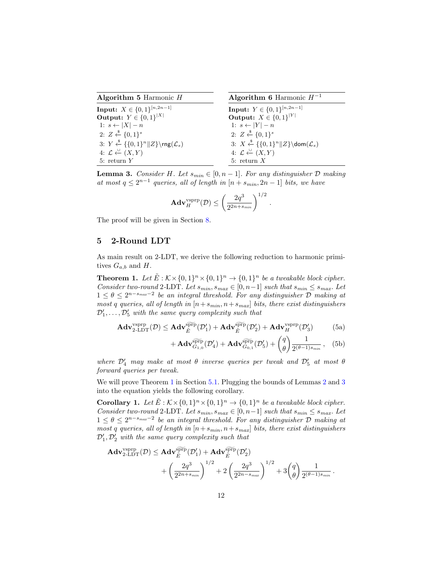<span id="page-11-1"></span>

| Algorithm 5 Harmonic $H$                             | Algorithm 6 Harmonic $H^{-1}$                             |
|------------------------------------------------------|-----------------------------------------------------------|
| Input: $X \in \{0,1\}^{[n,2n-1]}$                    | <b>Input:</b> $Y \in \{0, 1\}^{[n, 2n-1]}$                |
| <b>Output:</b> $Y \in \{0, 1\}^{ X }$                | <b>Output:</b> $X \in \{0,1\}^{ Y }$                      |
| 1: $s \leftarrow  X  - n$                            | 1: $s \leftarrow  Y  - n$                                 |
| 2: $Z \xleftarrow{\$} \{0,1\}^s$                     | 2: $Z \xleftarrow{\$} \{0,1\}^s$                          |
| 3: $Y \stackrel{\$}{\{0,1\}^n   Z\} \rightarrow C_s$ | 3: $X \xleftarrow{\$} \{0,1\}^n   Z\}\dom(\mathcal{L}_s)$ |
| 4: $\mathcal{L} \leftarrow X$ $(X, Y)$               | 4: $\mathcal{L} \leftarrow X$ $(X, Y)$                    |
| 5: return $Y$                                        | 5: return $X$                                             |

<span id="page-11-4"></span>**Lemma 3.** Consider H. Let  $s_{min} \in [0, n-1]$ . For any distinguisher  $D$  making at most  $q \leq 2^{n-1}$  queries, all of length in  $[n + s_{min}, 2n - 1]$  bits, we have

<span id="page-11-2"></span>
$$
\mathbf{Adv}_{H}^{\text{vsprp}}(\mathcal{D}) \leq \left(\frac{2q^3}{2^{2n + s_{min}}}\right)^{1/2}
$$

The proof will be given in Section [8.](#page-24-0)

# <span id="page-11-0"></span>5 2-Round LDT

<span id="page-11-3"></span>As main result on 2-LDT, we derive the following reduction to harmonic primitives  $G_{a,b}$  and H.

**Theorem 1.** Let  $\tilde{E}: \mathcal{K} \times \{0,1\}^n \times \{0,1\}^n \to \{0,1\}^n$  be a tweakable block cipher. Consider two-round 2-LDT. Let  $s_{min}, s_{max} \in [0, n-1]$  such that  $s_{min} \leq s_{max}$ . Let  $1 \leq \theta \leq 2^{n-s_{max}-2}$  be an integral threshold. For any distinguisher  $\mathcal{D}$  making at most q queries, all of length in  $[n+s_{min}, n+s_{max}]$  bits, there exist distinguishers  $\mathcal{D}'_1, \ldots, \mathcal{D}'_5$  with the same query complexity such that

$$
\mathbf{Adv}_{2\text{-LDT}}^{\text{vsprp}}(\mathcal{D}) \leq \mathbf{Adv}_{\tilde{E}}^{\widetilde{\text{sprp}}}(\mathcal{D}_1') + \mathbf{Adv}_{\tilde{E}}^{\widetilde{\text{sprp}}}(\mathcal{D}_2') + \mathbf{Adv}_{H}^{\text{vsprp}}(\mathcal{D}_3') \tag{5a}
$$

$$
+\mathbf{Adv}_{G_{1,0}}^{\widetilde{\text{sprp}}}(\mathcal{D}'_4)+\mathbf{Adv}_{G_{0,1}}^{\widetilde{\text{sprp}}}(\mathcal{D}'_5)+\binom{q}{\theta}\frac{1}{2^{(\theta-1)s_{min}}},\quad(5b)
$$

.

.

where  $\mathcal{D}'_4$  may make at most  $\theta$  inverse queries per tweak and  $\mathcal{D}'_5$  at most  $\theta$ forward queries per tweak.

We will prove Theorem [1](#page-11-3) in Section [5.1.](#page-12-0) Plugging the bounds of Lemmas [2](#page-10-3) and [3](#page-11-4) into the equation yields the following corollary.

**Corollary 1.** Let  $\tilde{E}: \mathcal{K} \times \{0,1\}^n \times \{0,1\}^n \to \{0,1\}^n$  be a tweakable block cipher. Consider two-round 2-LDT. Let  $s_{min}, s_{max} \in [0, n-1]$  such that  $s_{min} \leq s_{max}$ . Let  $1 \leq \theta \leq 2^{n-s_{max}-2}$  be an integral threshold. For any distinguisher  $\mathcal{D}$  making at most q queries, all of length in  $[n+s_{min}, n+s_{max}]$  bits, there exist distinguishers  $\mathcal{D}'_1, \mathcal{D}'_2$  with the same query complexity such that

$$
\begin{aligned} \mathbf{Adv}_{2\text{-LDT}}^{\text{sspp}}(\mathcal{D}) & \leq \mathbf{Adv}_{\tilde{E}}^{\text{spp}}(\mathcal{D}_1') + \mathbf{Adv}_{\tilde{E}}^{\text{spp}}(\mathcal{D}_2') \\ & + \left(\frac{2q^3}{2^{2n+s_{min}}}\right)^{1/2} + 2\left(\frac{2q^3}{2^{2n-s_{max}}}\right)^{1/2} + 3\binom{q}{\theta}\frac{1}{2^{(\theta-1)s_{min}}} \end{aligned}
$$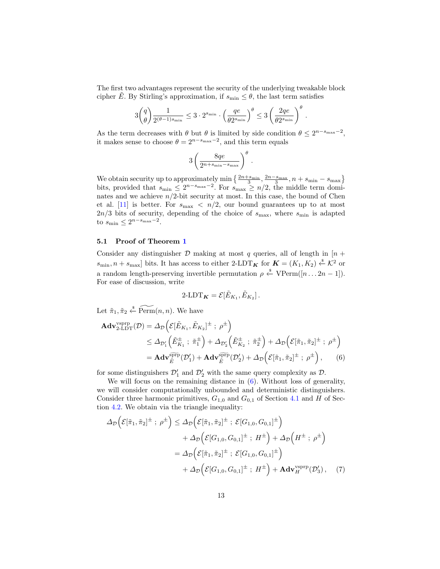The first two advantages represent the security of the underlying tweakable block cipher E. By Stirling's approximation, if  $s_{\text{min}} \leq \theta$ , the last term satisfies

$$
3\binom{q}{\theta}\frac{1}{2^{(\theta-1)s_{\min}}}\leq 3\cdot 2^{s_{\min}}\cdot \left(\frac{qe}{\theta 2^{s_{\min}}}\right)^{\theta}\leq 3\left(\frac{2qe}{\theta 2^{s_{\min}}}\right)^{\theta}.
$$

As the term decreases with  $\theta$  but  $\theta$  is limited by side condition  $\theta \leq 2^{n-s_{\text{max}}-2}$ , it makes sense to choose  $\theta = 2^{n-s_{\text{max}}-2}$ , and this term equals

$$
3\left(\frac{8qe}{2^{n+s_{\min}-s_{\max}}}\right)^{\theta}.
$$

We obtain security up to approximately min  $\left\{\frac{2n+s_{\min}}{3}, \frac{2n-s_{\max}}{3}, n+s_{\min}-s_{\max}\right\}$ bits, provided that  $s_{\min} \leq 2^{n-s_{\max}-2}$ . For  $s_{\max} \geq n/2$ , the middle term dominates and we achieve  $n/2$ -bit security at most. In this case, the bound of Chen et al. [\[11\]](#page-27-3) is better. For  $s_{\text{max}} < n/2$ , our bound guarantees up to at most  $2n/3$  bits of security, depending of the choice of  $s_{\text{max}}$ , where  $s_{\text{min}}$  is adapted to  $s_{\min} \leq 2^{n-s_{\max}-2}$ .

# <span id="page-12-0"></span>5.1 Proof of Theorem [1](#page-11-3)

Consider any distinguisher  $\mathcal D$  making at most q queries, all of length in  $[n +]$  $s_{\min}, n + s_{\max}$  bits. It has access to either 2-LDT<sub>K</sub> for  $\mathbf{K} = (K_1, K_2) \stackrel{\text{s}}{\leftarrow} \mathcal{K}^2$  or a random length-preserving invertible permutation  $\rho \stackrel{\text{*}}{\leftarrow} \text{VPerm}([n \dots 2n-1]).$ For ease of discussion, write

<span id="page-12-2"></span><span id="page-12-1"></span>
$$
2\text{-LDT}_{\mathbf{K}}=\mathcal{E}[\tilde{E}_{K_1},\tilde{E}_{K_2}].
$$

Let  $\tilde{\pi}_1, \tilde{\pi}_2 \stackrel{\hspace{0.1em}\mathsf{\scriptscriptstyle\$}}{\leftarrow} \widetilde{\mathrm{Perm}}(n,n)$ . We have

$$
\mathbf{Adv}_{2\text{-LDT}}^{\text{vsprp}}(\mathcal{D}) = \Delta_{\mathcal{D}} \Big( \mathcal{E}[\tilde{E}_{K_1}, \tilde{E}_{K_2}]^{\pm} \, ; \, \rho^{\pm} \Big) \n\leq \Delta_{\mathcal{D}_1'} \Big( \tilde{E}_{K_1}^{\pm} \, ; \, \tilde{\pi}_1^{\pm} \Big) + \Delta_{\mathcal{D}_2'} \Big( \tilde{E}_{K_2}^{\pm} \, ; \, \tilde{\pi}_2^{\pm} \Big) + \Delta_{\mathcal{D}} \Big( \mathcal{E}[\tilde{\pi}_1, \tilde{\pi}_2]^{\pm} \, ; \, \rho^{\pm} \Big) \n= \mathbf{Adv}_{\tilde{E}}^{\text{sprp}}(\mathcal{D}_1') + \mathbf{Adv}_{\tilde{E}}^{\text{sprp}}(\mathcal{D}_2') + \Delta_{\mathcal{D}} \Big( \mathcal{E}[\tilde{\pi}_1, \tilde{\pi}_2]^{\pm} \, ; \, \rho^{\pm} \Big), \qquad (6)
$$

for some distinguishers  $\mathcal{D}'_1$  and  $\mathcal{D}'_2$  with the same query complexity as  $\mathcal{D}$ .

We will focus on the remaining distance in  $(6)$ . Without loss of generality, we will consider computationally unbounded and deterministic distinguishers. Consider three harmonic primitives,  $G_{1,0}$  and  $G_{0,1}$  of Section [4.1](#page-9-0) and H of Section [4.2.](#page-10-0) We obtain via the triangle inequality:

$$
\Delta_{\mathcal{D}}\left(\mathcal{E}[\tilde{\pi}_{1}, \tilde{\pi}_{2}]^{\pm} ; \rho^{\pm}\right) \leq \Delta_{\mathcal{D}}\left(\mathcal{E}[\tilde{\pi}_{1}, \tilde{\pi}_{2}]^{\pm} ; \mathcal{E}[G_{1,0}, G_{0,1}]^{\pm}\right) \n+ \Delta_{\mathcal{D}}\left(\mathcal{E}[G_{1,0}, G_{0,1}]^{\pm} ; H^{\pm}\right) + \Delta_{\mathcal{D}}\left(H^{\pm} ; \rho^{\pm}\right) \n= \Delta_{\mathcal{D}}\left(\mathcal{E}[\tilde{\pi}_{1}, \tilde{\pi}_{2}]^{\pm} ; \mathcal{E}[G_{1,0}, G_{0,1}]^{\pm}\right) \n+ \Delta_{\mathcal{D}}\left(\mathcal{E}[G_{1,0}, G_{0,1}]^{\pm} ; H^{\pm}\right) + \mathbf{Adv}_{H}^{\text{ssppp}}(\mathcal{D}'_{3}), \quad (7)
$$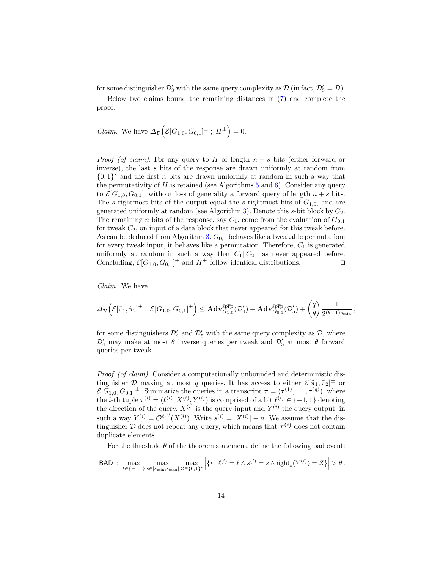for some distinguisher  $\mathcal{D}'_3$  with the same query complexity as  $\mathcal{D}$  (in fact,  $\mathcal{D}'_3 = \mathcal{D}$ ).

Below two claims bound the remaining distances in [\(7\)](#page-12-2) and complete the proof.

*Claim.* We have 
$$
\Delta_{\mathcal{D}}(\mathcal{E}[G_{1,0}, G_{0,1}]^{\pm} ; H^{\pm}) = 0
$$
.

*Proof (of claim)*. For any query to H of length  $n + s$  bits (either forward or inverse), the last s bits of the response are drawn uniformly at random from  $\{0,1\}^s$  and the first n bits are drawn uniformly at random in such a way that the permutativity of  $H$  is retained (see Algorithms  $5$  and  $6$ ). Consider any query to  $\mathcal{E}[G_{1,0}, G_{0,1}]$ , without loss of generality a forward query of length  $n + s$  bits. The s rightmost bits of the output equal the s rightmost bits of  $G_{1,0}$ , and are generated uniformly at random (see Algorithm [3\)](#page-10-1). Denote this  $s$ -bit block by  $C_2$ . The remaining n bits of the response, say  $C_1$ , come from the evaluation of  $G_{0,1}$ for tweak  $C_2$ , on input of a data block that never appeared for this tweak before. As can be deduced from Algorithm [3,](#page-10-1)  $G_{0,1}$  behaves like a tweakable permutation: for every tweak input, it behaves like a permutation. Therefore,  $C_1$  is generated uniformly at random in such a way that  $C_1||C_2$  has never appeared before. Concluding,  $\mathcal{E}[G_{1,0}, G_{0,1}]^{\pm}$  and  $H^{\pm}$  follow identical distributions.

Claim. We have

$$
\varDelta_{\mathcal{D}}\Big(\mathcal{E}[\tilde{\pi}_1,\tilde{\pi}_2]^{\pm} \ ; \ \mathcal{E}[G_{1,0},G_{0,1}]^{\pm} \Big) \leq \mathbf{Adv}_{G_{1,0}}^{\widetilde{\text{prp}}}(\mathcal{D}_4') + \mathbf{Adv}_{G_{0,1}}^{\widetilde{\text{prp}}}(\mathcal{D}_5') + \binom{q}{\theta} \frac{1}{2^{(\theta-1)s_{\min}}}\,,
$$

for some distinguishers  $\mathcal{D}'_4$  and  $\mathcal{D}'_5$  with the same query complexity as  $\mathcal{D}$ , where  $\mathcal{D}'_4$  may make at most  $\theta$  inverse queries per tweak and  $\mathcal{D}'_5$  at most  $\theta$  forward queries per tweak.

Proof (of claim). Consider a computationally unbounded and deterministic distinguisher  $\mathcal D$  making at most q queries. It has access to either  $\mathcal E[\tilde\pi_1,\tilde\pi_2]^\pm$  or  $\mathcal{E}[G_{1,0}, G_{0,1}]^{\pm}$ . Summarize the queries in a transcript  $\boldsymbol{\tau} = (\tau^{(1)}, \ldots, \tau^{(q)})$ , where the *i*-th tuple  $\tau^{(i)} = (\ell^{(i)}, X^{(i)}, Y^{(i)})$  is comprised of a bit  $\ell^{(i)} \in \{-1, 1\}$  denoting the direction of the query,  $X^{(i)}$  is the query input and  $Y^{(i)}$  the query output, in such a way  $Y^{(i)} = \mathcal{O}^{\ell^{(i)}}(X^{(i)})$ . Write  $s^{(i)} = |X^{(i)}| - n$ . We assume that the distinguisher  $D$  does not repeat any query, which means that  $\tau^{(i)}$  does not contain duplicate elements.

For the threshold  $\theta$  of the theorem statement, define the following bad event:

$$
\text{BAD} \; : \; \max_{\ell \in \{-1,1\}} \max_{s \in [s_{\min}, s_{\max}]} \max_{Z \in \{0,1\}^s} \left| \{ i \mid \ell^{(i)} = \ell \wedge s^{(i)} = s \wedge \mathsf{right}_s(Y^{(i)}) = Z \} \right| > \theta \, .
$$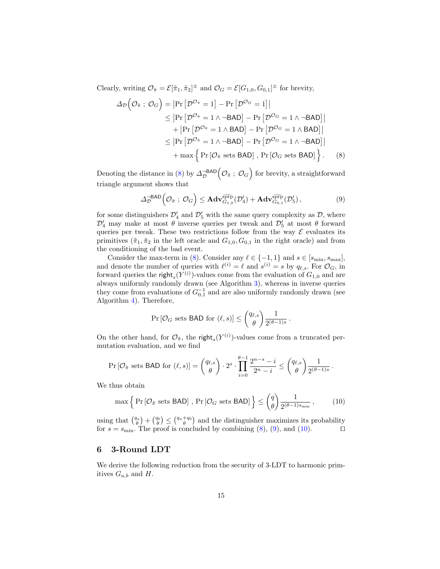Clearly, writing  $\mathcal{O}_{\tilde{\pi}} = \mathcal{E}[\tilde{\pi}_1, \tilde{\pi}_2]^{\pm}$  and  $\mathcal{O}_G = \mathcal{E}[G_{1,0}, G_{0,1}]^{\pm}$  for brevity,

$$
\Delta_{\mathcal{D}}\left(\mathcal{O}_{\tilde{\pi}}; \mathcal{O}_{G}\right) = \left|\Pr\left[\mathcal{D}^{\mathcal{O}_{\tilde{\pi}}} = 1\right] - \Pr\left[\mathcal{D}^{\mathcal{O}_{G}} = 1\right]\right|
$$
  
\n
$$
\leq \left|\Pr\left[\mathcal{D}^{\mathcal{O}_{\tilde{\pi}}} = 1 \land \neg BAD\right] - \Pr\left[\mathcal{D}^{\mathcal{O}_{G}} = 1 \land \neg BAD\right]\right|
$$
  
\n
$$
+ \left|\Pr\left[\mathcal{D}^{\mathcal{O}_{\tilde{\pi}}} = 1 \land BAD\right] - \Pr\left[\mathcal{D}^{\mathcal{O}_{G}} = 1 \land BAD\right]\right|
$$
  
\n
$$
\leq \left|\Pr\left[\mathcal{D}^{\mathcal{O}_{\tilde{\pi}}} = 1 \land \neg BAD\right] - \Pr\left[\mathcal{D}^{\mathcal{O}_{G}} = 1 \land \neg BAD\right]\right|
$$
  
\n
$$
+ \max\left\{\Pr\left[\mathcal{O}_{\tilde{\pi}} \text{ sets BAD}\right], \Pr\left[\mathcal{O}_{G} \text{ sets BAD}\right]\right\}. \tag{8}
$$

Denoting the distance in [\(8\)](#page-14-1) by  $\Delta_{\mathcal{D}}^{-\text{BAD}}(\mathcal{O}_{\tilde{\pi}}\,;\,\mathcal{O}_G)$  for brevity, a straightforward triangle argument shows that

<span id="page-14-2"></span><span id="page-14-1"></span>
$$
\Delta_{\mathcal{D}}^{-\text{BAD}}\left(\mathcal{O}_{\tilde{\pi}}\,;\,\mathcal{O}_{G}\right)\leq \mathbf{Adv}_{G_{1,0}}^{\widetilde{\text{ppp}}}(\mathcal{D}'_{4})+\mathbf{Adv}_{G_{0,1}}^{\widetilde{\text{ppp}}}(\mathcal{D}'_{5}),\tag{9}
$$

for some distinguishers  $\mathcal{D}'_4$  and  $\mathcal{D}'_5$  with the same query complexity as  $\mathcal{D}$ , where  $\mathcal{D}'_4$  may make at most  $\theta$  inverse queries per tweak and  $\mathcal{D}'_5$  at most  $\theta$  forward queries per tweak. These two restrictions follow from the way  $\mathcal E$  evaluates its primitives  $(\tilde{\pi}_1, \tilde{\pi}_2)$  in the left oracle and  $G_{1,0}, G_{0,1}$  in the right oracle) and from the conditioning of the bad event.

Consider the max-term in [\(8\)](#page-14-1). Consider any  $\ell \in \{-1, 1\}$  and  $s \in [s_{\min}, s_{\max}]$ , and denote the number of queries with  $\ell^{(i)} = \ell$  and  $s^{(i)} = s$  by  $q_{\ell,s}$ . For  $\mathcal{O}_G$ , in forward queries the right<sub>s</sub> $(Y^{(i)})$ -values come from the evaluation of  $G_{1,0}$  and are always uniformly randomly drawn (see Algorithm [3\)](#page-10-1), whereas in inverse queries they come from evaluations of  $G_{0,1}^{-1}$  and are also uniformly randomly drawn (see Algorithm [4\)](#page-10-2). Therefore,

<span id="page-14-3"></span>
$$
\Pr\left[\mathcal{O}_G \text{ sets BAD for } (\ell,s)\right] \leq \binom{q_{\ell,s}}{\theta} \frac{1}{2^{(\theta-1)s}}\,.
$$

On the other hand, for  $\mathcal{O}_{\tilde{\pi}}$ , the right<sub>s</sub> $(Y^{(i)})$ -values come from a truncated permutation evaluation, and we find

$$
\Pr\left[\mathcal{O}_{\tilde{\pi}} \text{ sets BAD for } (\ell, s)\right] = \binom{q_{\ell, s}}{\theta} \cdot 2^s \cdot \prod_{i=0}^{\theta-1} \frac{2^{n-s} - i}{2^n - i} \leq \binom{q_{\ell, s}}{\theta} \frac{1}{2^{(\theta-1)s}}.
$$

We thus obtain

$$
\max\left\{\Pr\left[\mathcal{O}_{\tilde{\pi}}\text{ sets BAD}\right],\Pr\left[\mathcal{O}_G\text{ sets BAD}\right]\right\}\le\binom{q}{\theta}\frac{1}{2^{(\theta-1)s_{\min}}},\qquad(10)
$$

using that  $\binom{q_a}{\theta} + \binom{q_b}{\theta} \leq \binom{q_a+q_b}{\theta}$  and the distinguisher maximizes its probability for  $s = s_{\text{min}}$ . The proof is concluded by combining [\(8\)](#page-14-1), [\(9\)](#page-14-2), and [\(10\)](#page-14-3).

#### <span id="page-14-0"></span>6 3-Round LDT

<span id="page-14-4"></span>We derive the following reduction from the security of 3-LDT to harmonic primitives  $G_{a,b}$  and H.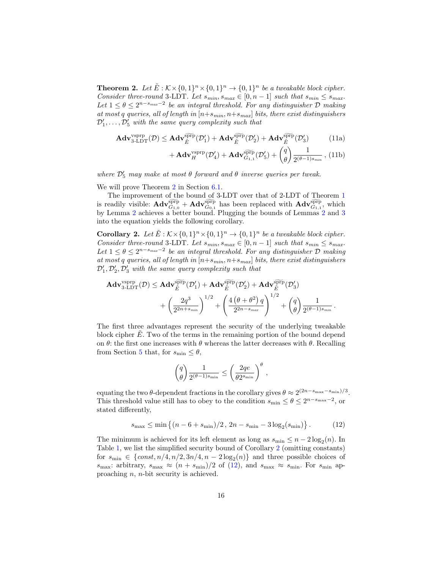**Theorem 2.** Let  $\tilde{E}: \mathcal{K} \times \{0,1\}^n \times \{0,1\}^n \rightarrow \{0,1\}^n$  be a tweakable block cipher. Consider three-round 3-LDT. Let  $s_{min}, s_{max} \in [0, n-1]$  such that  $s_{min} \leq s_{max}$ . Let  $1 \leq \theta \leq 2^{n-s_{max}-2}$  be an integral threshold. For any distinguisher  $\mathcal{D}$  making at most q queries, all of length in  $[n+s_{min}, n+s_{max}]$  bits, there exist distinguishers  $\mathcal{D}'_1,\ldots,\mathcal{D}'_5$  with the same query complexity such that

$$
\mathbf{Adv}_{3\text{-LDT}}^{\text{vsprp}}(\mathcal{D}) \leq \mathbf{Adv}_{\tilde{E}}^{\text{sprp}}(\mathcal{D}'_1) + \mathbf{Adv}_{\tilde{E}}^{\text{sprp}}(\mathcal{D}'_2) + \mathbf{Adv}_{\tilde{E}}^{\text{sprp}}(\mathcal{D}'_3)
$$
(11a)  
+ 
$$
+ \mathbf{Adv}_{H}^{\text{vsprp}}(\mathcal{D}'_4) + \mathbf{Adv}_{G_{1,1}}^{\text{sprp}}(\mathcal{D}'_5) + \begin{pmatrix} q \\ \theta \end{pmatrix} \frac{1}{2^{(\theta-1)s_{min}}},
$$
(11b)

where  $\mathcal{D}'_5$  may make at most  $\theta$  forward and  $\theta$  inverse queries per tweak.

We will prove Theorem [2](#page-14-4) in Section [6.1.](#page-16-1)

The improvement of the bound of 3-LDT over that of 2-LDT of Theorem [1](#page-11-3) is readily visible:  $\mathbf{Adv}_{G_{1,0}}^{\text{sprp}} + \mathbf{Adv}_{G_{0,1}}^{\text{sprp}}$  has been replaced with  $\mathbf{Adv}_{G_{1,1}}^{\text{sprp}}$ , which by Lemma [2](#page-10-3) achieves a better bound. Plugging the bounds of Lemmas [2](#page-10-3) and [3](#page-11-4) into the equation yields the following corollary.

**Corollary 2.** Let  $\tilde{E}: \mathcal{K} \times \{0,1\}^n \times \{0,1\}^n \to \{0,1\}^n$  be a tweakable block cipher. Consider three-round 3-LDT. Let  $s_{min}, s_{max} \in [0, n-1]$  such that  $s_{min} \leq s_{max}$ . Let  $1 \leq \theta \leq 2^{n-s_{max}-2}$  be an integral threshold. For any distinguisher  $\mathcal{D}$  making at most q queries, all of length in  $[n+s_{min}, n+s_{max}]$  bits, there exist distinguishers  $\mathcal{D}'_1, \mathcal{D}'_2, \mathcal{D}'_3$  with the same query complexity such that

$$
\begin{aligned} \mathbf{Adv}_{3\text{-LDT}}^{\text{ssprp}}(\mathcal{D}) & \leq \mathbf{Adv}_{\tilde{E}}^{\widetilde{\text{sprp}}}(\mathcal{D}_1') + \mathbf{Adv}_{\tilde{E}}^{\widetilde{\text{sprp}}}(\mathcal{D}_2') + \mathbf{Adv}_{\tilde{E}}^{\widetilde{\text{sprp}}}(\mathcal{D}_3') \\ & + \left(\frac{2q^3}{2^{2n + s_{min}}}\right)^{1/2} + \left(\frac{4\left(\theta + \theta^2\right)q}{2^{2n - s_{max}}}\right)^{1/2} + \left(\frac{q}{\theta}\right)\frac{1}{2^{(\theta - 1)s_{min}}} \end{aligned}
$$

<span id="page-15-1"></span><span id="page-15-0"></span>.

The first three advantages represent the security of the underlying tweakable block cipher  $E$ . Two of the terms in the remaining portion of the bound depend on  $\theta$ : the first one increases with  $\theta$  whereas the latter decreases with  $\theta$ . Recalling from Section [5](#page-11-0) that, for  $s_{\min} \leq \theta$ ,

$$
\binom{q}{\theta}\frac{1}{2^{(\theta-1)s_{\min}}}\leq \left(\frac{2qe}{\theta2^{s_{\min}}}\right)^{\theta}\,,
$$

equating the two  $\theta$ -dependent fractions in the corollary gives  $\theta \approx 2^{(2n - s_{\max} - s_{\min})/3}$ . This threshold value still has to obey to the condition  $s_{\min} \leq \theta \leq 2^{n-s_{\max}-2}$ , or stated differently,

$$
s_{\max} \le \min\left\{ (n - 6 + s_{\min})/2, 2n - s_{\min} - 3\log_2(s_{\min}) \right\}.
$$
 (12)

The minimum is achieved for its left element as long as  $s_{\min} \leq n - 2 \log_2(n)$ . In Table [1,](#page-16-0) we list the simplified security bound of Corollary [2](#page-15-0) (omitting constants) for  $s_{\text{min}} \in \{const, n/4, n/2, 3n/4, n-2\log_2(n)\}\$  and three possible choices of  $s_{\text{max}}$ : arbitrary,  $s_{\text{max}} \approx (n + s_{\text{min}})/2$  of [\(12\)](#page-15-1), and  $s_{\text{max}} \approx s_{\text{min}}$ . For  $s_{\text{min}}$  approaching n, n-bit security is achieved.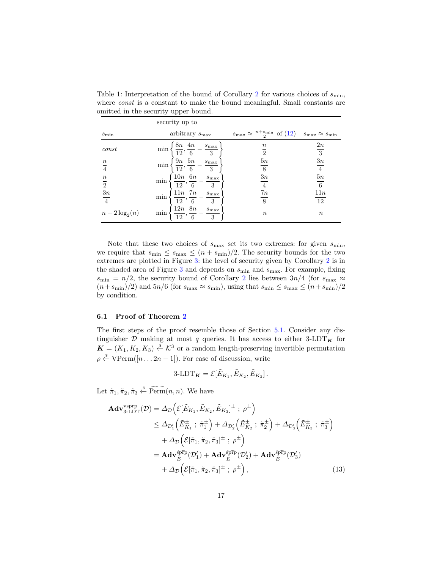|                           | security up to                                                                                       |                                                                                                       |                                            |
|---------------------------|------------------------------------------------------------------------------------------------------|-------------------------------------------------------------------------------------------------------|--------------------------------------------|
| $s_{\min}$                | arbitrary $s_{\rm max}$                                                                              | $s_{\text{max}} \approx \frac{n + s_{\text{min}}}{2}$ of (12) $s_{\text{max}} \approx s_{\text{min}}$ |                                            |
| const                     | $\frac{8n}{12},\frac{4n}{6}$ -<br>$s_{\rm max}$<br>min<br>$\overline{\phantom{0}3}$                  | $\it{n}$<br>$\overline{2}$                                                                            | $\frac{2n}{3}$                             |
| $\it n$<br>$\overline{4}$ | $\left\{\frac{9n}{12},\frac{5n}{6}-\right\}$<br>$s_{\rm max}$<br>min<br>$\overline{3}$               | $5n\,$<br>$\overline{8}$                                                                              | $3\mathfrak{n}$<br>$\overline{\mathbf{4}}$ |
| $\frac{n}{2}$             | $10n$ 6n<br>$s_{\rm max}$<br>$\min$<br>$\overline{12}$ , $\overline{6}$<br>$\overline{\phantom{a}3}$ | 3n<br>$\overline{4}$                                                                                  | 5n<br>$\overline{6}$                       |
| $\frac{3n}{4}$            | $11n$ 7n<br>$s_{\rm max}$<br>min<br>$\overline{12}$ , $\overline{6}$<br>3                            | 7n<br>8                                                                                               | 11n<br>12                                  |
| $n-2\log_2(n)$            | $12n$ 8n<br>$s_{\max}$<br>min<br>6<br>3<br>$\overline{12}$                                           | $\boldsymbol{n}$                                                                                      | $\it{n}$                                   |

<span id="page-16-0"></span>Table 1: Interpretation of the bound of Corollary [2](#page-15-0) for various choices of  $s_{\min}$ , where *const* is a constant to make the bound meaningful. Small constants are omitted in the security upper bound.

Note that these two choices of  $s_{\text{max}}$  set its two extremes: for given  $s_{\text{min}}$ , we require that  $s_{\text{min}} \leq s_{\text{max}} \leq (n + s_{\text{min}})/2$ . The security bounds for the two extremes are plotted in Figure [3:](#page-17-0) the level of security given by Corollary [2](#page-15-0) is in the shaded area of Figure [3](#page-17-0) and depends on  $s_{\text{min}}$  and  $s_{\text{max}}$ . For example, fixing  $s_{\text{min}} = n/2$  $s_{\text{min}} = n/2$ , the security bound of Corollary 2 lies between  $3n/4$  (for  $s_{\text{max}} \approx$  $(n+s_{\min})/2$  and  $5n/6$  (for  $s_{\max} \approx s_{\min}$ ), using that  $s_{\min} \leq s_{\max} \leq (n+s_{\min})/2$ by condition.

#### <span id="page-16-1"></span>6.1 Proof of Theorem [2](#page-14-4)

The first steps of the proof resemble those of Section [5.1.](#page-12-0) Consider any distinguisher  $D$  making at most q queries. It has access to either 3-LDT<sub>K</sub> for  $\mathbf{K} = (K_1, K_2, K_3) \stackrel{\hspace{0.1em}\mathsf{\scriptscriptstyle\$}}{\leftarrow} \mathcal{K}^3$  or a random length-preserving invertible permutation  $\rho \stackrel{\$}{\leftarrow} \text{VPerm}([n \dots 2n-1])$ . For ease of discussion, write

<span id="page-16-2"></span>
$$
3\text{-LDT}_{\mathbf{K}} = \mathcal{E}[\tilde{E}_{K_1}, \tilde{E}_{K_2}, \tilde{E}_{K_3}].
$$

Let  $\tilde{\pi}_1, \tilde{\pi}_2, \tilde{\pi}_3 \stackrel{\hspace{0.1em}\mathsf{\scriptscriptstyle\$}}{\leftarrow} \widetilde{\mathrm{Perm}}(n, n)$ . We have

$$
\mathbf{Adv}_{3\text{-LDT}}^{\text{vsppp}}(\mathcal{D}) = \Delta_{\mathcal{D}} \Big( \mathcal{E}[\tilde{E}_{K_1}, \tilde{E}_{K_2}, \tilde{E}_{K_3}]^{\pm} ; \rho^{\pm} \Big) \n\leq \Delta_{\mathcal{D}'_1} \Big( \tilde{E}_{K_1}^{\pm} ; \tilde{\pi}_1^{\pm} \Big) + \Delta_{\mathcal{D}'_2} \Big( \tilde{E}_{K_2}^{\pm} ; \tilde{\pi}_2^{\pm} \Big) + \Delta_{\mathcal{D}'_3} \Big( \tilde{E}_{K_3}^{\pm} ; \tilde{\pi}_3^{\pm} \Big) \n+ \Delta_{\mathcal{D}} \Big( \mathcal{E}[\tilde{\pi}_1, \tilde{\pi}_2, \tilde{\pi}_3]^{\pm} ; \rho^{\pm} \Big) \n= \mathbf{Adv}_{\tilde{E}}^{\text{SPP}}(\mathcal{D}'_1) + \mathbf{Adv}_{\tilde{E}}^{\text{SPP}}(\mathcal{D}'_2) + \mathbf{Adv}_{\tilde{E}}^{\text{SPP}}(\mathcal{D}'_3) \n+ \Delta_{\mathcal{D}} \Big( \mathcal{E}[\tilde{\pi}_1, \tilde{\pi}_2, \tilde{\pi}_3]^{\pm} ; \rho^{\pm} \Big),
$$
\n(13)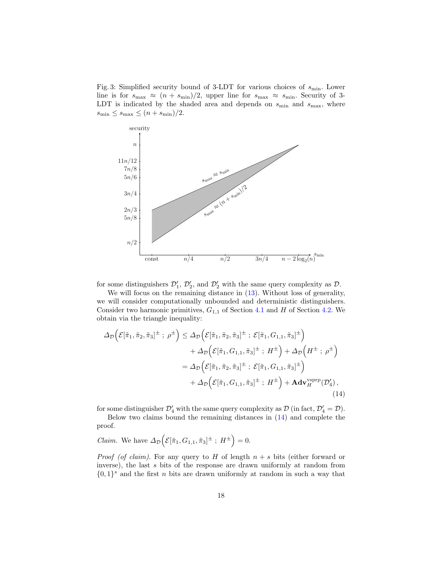<span id="page-17-0"></span>Fig. 3: Simplified security bound of 3-LDT for various choices of  $s_{\text{min}}$ . Lower line is for  $s_{\text{max}} \approx (n + s_{\text{min}})/2$ , upper line for  $s_{\text{max}} \approx s_{\text{min}}$ . Security of 3-LDT is indicated by the shaded area and depends on  $s_{\text{min}}$  and  $s_{\text{max}}$ , where  $s_{\min} \leq s_{\max} \leq (n + s_{\min})/2.$ 



for some distinguishers  $\mathcal{D}'_1$ ,  $\mathcal{D}'_2$ , and  $\mathcal{D}'_2$  with the same query complexity as  $\mathcal{D}$ .

We will focus on the remaining distance in  $(13)$ . Without loss of generality, we will consider computationally unbounded and deterministic distinguishers. Consider two harmonic primitives,  $G_{1,1}$  of Section [4.1](#page-9-0) and H of Section [4.2.](#page-10-0) We obtain via the triangle inequality:

$$
\Delta_{\mathcal{D}}\Big(\mathcal{E}[\tilde{\pi}_1, \tilde{\pi}_2, \tilde{\pi}_3]^{\pm} ; \rho^{\pm}\Big) \leq \Delta_{\mathcal{D}}\Big(\mathcal{E}[\tilde{\pi}_1, \tilde{\pi}_2, \tilde{\pi}_3]^{\pm} ; \mathcal{E}[\tilde{\pi}_1, G_{1,1}, \tilde{\pi}_3]^{\pm}\Big) \n+ \Delta_{\mathcal{D}}\Big(\mathcal{E}[\tilde{\pi}_1, G_{1,1}, \tilde{\pi}_3]^{\pm} ; H^{\pm}\Big) + \Delta_{\mathcal{D}}\Big(H^{\pm} ; \rho^{\pm}\Big) \n= \Delta_{\mathcal{D}}\Big(\mathcal{E}[\tilde{\pi}_1, \tilde{\pi}_2, \tilde{\pi}_3]^{\pm} ; \mathcal{E}[\tilde{\pi}_1, G_{1,1}, \tilde{\pi}_3]^{\pm}\Big) \n+ \Delta_{\mathcal{D}}\Big(\mathcal{E}[\tilde{\pi}_1, G_{1,1}, \tilde{\pi}_3]^{\pm} ; H^{\pm}\Big) + \mathbf{Adv}_{H}^{\text{ssppp}}(\mathcal{D}'_{4}),
$$
\n(14)

<span id="page-17-1"></span>for some distinguisher  $\mathcal{D}'_4$  with the same query complexity as  $\mathcal{D}$  (in fact,  $\mathcal{D}'_4 = \mathcal{D}$ ).

Below two claims bound the remaining distances in [\(14\)](#page-17-1) and complete the proof.

*Claim.* We have 
$$
\Delta_{\mathcal{D}}\left(\mathcal{E}[\tilde{\pi}_1, G_{1,1}, \tilde{\pi}_3]^{\pm} ; H^{\pm}\right) = 0.
$$

*Proof (of claim)*. For any query to H of length  $n + s$  bits (either forward or inverse), the last s bits of the response are drawn uniformly at random from  $\{0,1\}^s$  and the first n bits are drawn uniformly at random in such a way that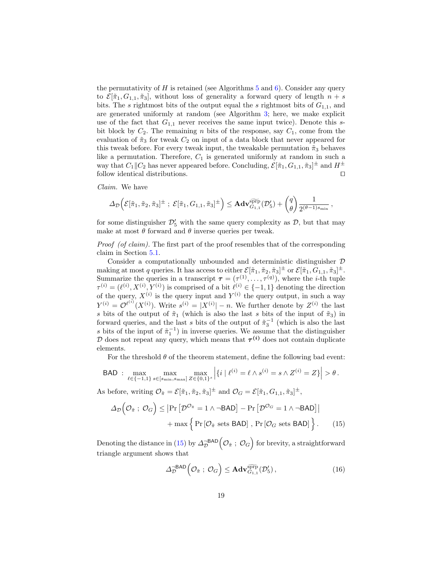the permutativity of  $H$  is retained (see Algorithms [5](#page-11-1) and [6\)](#page-11-2). Consider any query to  $\mathcal{E}[\tilde{\pi}_1, G_{1,1}, \tilde{\pi}_3]$ , without loss of generality a forward query of length  $n + s$ bits. The s rightmost bits of the output equal the s rightmost bits of  $G_{1,1}$ , and are generated uniformly at random (see Algorithm [3;](#page-10-1) here, we make explicit use of the fact that  $G_{1,1}$  never receives the same input twice). Denote this sbit block by  $C_2$ . The remaining n bits of the response, say  $C_1$ , come from the evaluation of  $\tilde{\pi}_3$  for tweak  $C_2$  on input of a data block that never appeared for this tweak before. For every tweak input, the tweakable permutation  $\tilde{\pi}_3$  behaves like a permutation. Therefore,  $C_1$  is generated uniformly at random in such a way that  $C_1||C_2$  has never appeared before. Concluding,  $\mathcal{E}[\tilde{\pi}_1, G_{1,1}, \tilde{\pi}_3]^{\pm}$  and  $H^{\pm}$ follow identical distributions.

Claim. We have

$$
\Delta_{\mathcal{D}}\Big(\mathcal{E}[\tilde{\pi}_1,\tilde{\pi}_2,\tilde{\pi}_3]^{\pm} \; ; \; \mathcal{E}[\tilde{\pi}_1,G_{1,1},\tilde{\pi}_3]^{\pm}\Big) \leq \mathbf{Adv}_{G_{1,1}}^{\widetilde{\text{opp}}}(\mathcal{D}_5') + \begin{pmatrix} q \\ \theta \end{pmatrix} \frac{1}{2^{(\theta-1)s_{\min}}},
$$

for some distinguisher  $\mathcal{D}'_5$  with the same query complexity as  $\mathcal{D}$ , but that may make at most  $\theta$  forward and  $\theta$  inverse queries per tweak.

Proof (of claim). The first part of the proof resembles that of the corresponding claim in Section [5.1.](#page-12-0)

Consider a computationally unbounded and deterministic distinguisher D making at most q queries. It has access to either  $\mathcal{E}[\tilde{\pi}_1, \tilde{\pi}_2, \tilde{\pi}_3]^{\pm}$  or  $\mathcal{E}[\tilde{\pi}_1, G_{1,1}, \tilde{\pi}_3]^{\pm}$ . Summarize the queries in a transcript  $\tau = (\tau^{(1)}, \ldots, \tau^{(q)})$ , where the *i*-th tuple  $\tau^{(i)} = (\ell^{(i)}, X^{(i)}, Y^{(i)})$  is comprised of a bit  $\ell^{(i)} \in \{-1, 1\}$  denoting the direction of the query,  $X^{(i)}$  is the query input and  $Y^{(i)}$  the query output, in such a way  $Y^{(i)} = \mathcal{O}^{\ell^{(i)}}(X^{(i)})$ . Write  $s^{(i)} = |X^{(i)}| - n$ . We further denote by  $Z^{(i)}$  the last s bits of the output of  $\tilde{\pi}_1$  (which is also the last s bits of the input of  $\tilde{\pi}_3$ ) in forward queries, and the last s bits of the output of  $\tilde{\pi}_3^{-1}$  (which is also the last s bits of the input of  $\tilde{\pi}_1^{-1}$ ) in inverse queries. We assume that the distinguisher D does not repeat any query, which means that  $\tau^{(i)}$  does not contain duplicate elements.

For the threshold  $\theta$  of the theorem statement, define the following bad event:

BAD : 
$$
\max_{\ell \in \{-1,1\}} \max_{s \in [s_{\min}, s_{\max}]} \max_{Z \in \{0,1\}^s} \left| \{i \mid \ell^{(i)} = \ell \wedge s^{(i)} = s \wedge Z^{(i)} = Z \} \right| > \theta
$$
.

As before, writing  $\mathcal{O}_{\tilde{\pi}} = \mathcal{E}[\tilde{\pi}_1, \tilde{\pi}_2, \tilde{\pi}_3]^{\pm}$  and  $\mathcal{O}_G = \mathcal{E}[\tilde{\pi}_1, G_{1,1}, \tilde{\pi}_3]^{\pm}$ ,

$$
\Delta_{\mathcal{D}}\left(\mathcal{O}_{\tilde{\pi}}; \mathcal{O}_{G}\right) \leq \left|\Pr\left[\mathcal{D}^{\mathcal{O}_{\tilde{\pi}}}=1 \land \neg BAD\right]-\Pr\left[\mathcal{D}^{\mathcal{O}_{G}}=1 \land \neg BAD\right]\right|
$$

$$
+\max\left\{\Pr\left[\mathcal{O}_{\tilde{\pi}}\text{ sets BAD}\right], \Pr\left[\mathcal{O}_{G}\text{ sets BAD}\right]\right\}. \tag{15}
$$

Denoting the distance in [\(15\)](#page-18-0) by  $\Delta_{\mathcal{D}}^{-\text{BAD}}(\mathcal{O}_{\tilde{\pi}}\,;\,\mathcal{O}_G)$  for brevity, a straightforward triangle argument shows that

<span id="page-18-1"></span><span id="page-18-0"></span>
$$
\Delta_{\mathcal{D}}^{-\text{BAD}}\left(\mathcal{O}_{\tilde{\pi}}\,;\,\mathcal{O}_G\right)\leq \text{Adv}_{G_{1,1}}^{\text{sprp}}(\mathcal{D}'_5)\,,\tag{16}
$$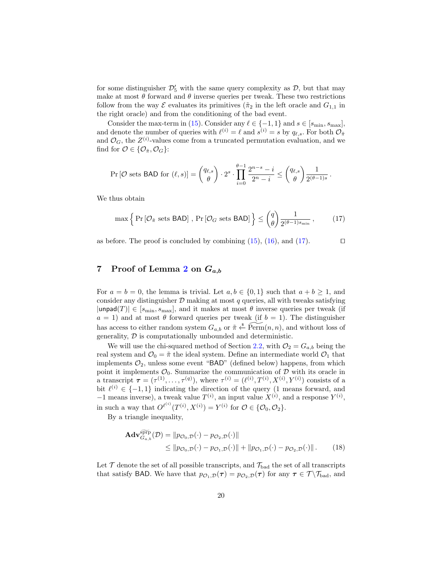for some distinguisher  $\mathcal{D}'_5$  with the same query complexity as  $\mathcal{D}$ , but that may make at most  $\theta$  forward and  $\theta$  inverse queries per tweak. These two restrictions follow from the way  $\mathcal E$  evaluates its primitives ( $\tilde{\pi}_2$  in the left oracle and  $G_{1,1}$  in the right oracle) and from the conditioning of the bad event.

Consider the max-term in [\(15\)](#page-18-0). Consider any  $\ell \in \{-1, 1\}$  and  $s \in [s_{\min}, s_{\max}]$ , and denote the number of queries with  $\ell^{(i)} = \ell$  and  $s^{(i)} = s$  by  $q_{\ell,s}$ . For both  $\mathcal{O}_{\tilde{\pi}}$ and  $\mathcal{O}_G$ , the  $Z^{(i)}$ -values come from a truncated permutation evaluation, and we find for  $\mathcal{O} \in \{ \mathcal{O}_{\tilde{\pi}}, \mathcal{O}_G \}$ :

$$
\Pr\left[\mathcal{O}\text{ sets BAD for }(\ell,s)\right] = \binom{q_{\ell,s}}{\theta} \cdot 2^s \cdot \prod_{i=0}^{\theta-1} \frac{2^{n-s}-i}{2^n-i} \leq \binom{q_{\ell,s}}{\theta} \frac{1}{2^{(\theta-1)s}}.
$$

We thus obtain

<span id="page-19-1"></span>
$$
\max\left\{\Pr\left[\mathcal{O}_{\tilde{\pi}}\text{ sets BAD}\right],\Pr\left[\mathcal{O}_G\text{ sets BAD}\right]\right\} \le \binom{q}{\theta} \frac{1}{2^{(\theta-1)s_{\min}}},\qquad(17)
$$

as before. The proof is concluded by combining  $(15)$ ,  $(16)$ , and  $(17)$ .

# <span id="page-19-0"></span>7 Proof of Lemma [2](#page-10-3) on  $G_{a,b}$

For  $a = b = 0$ , the lemma is trivial. Let  $a, b \in \{0, 1\}$  such that  $a + b \ge 1$ , and consider any distinguisher  $D$  making at most  $q$  queries, all with tweaks satisfying  $|$ unpad $(T)| \in [s_{\min}, s_{\max}]$ , and it makes at most  $\theta$  inverse queries per tweak (if  $a = 1$ ) and at most  $\theta$  forward queries per tweak (if  $b = 1$ ). The distinguisher has access to either random system  $G_{a,b}$  or  $\tilde{\pi} \stackrel{\$}{\leftarrow} \widetilde{\mathrm{Perm}}(n,n)$ , and without loss of generality,  $D$  is computationally unbounded and deterministic.

We will use the chi-squared method of Section [2.2,](#page-6-0) with  $\mathcal{O}_2 = G_{a,b}$  being the real system and  $\mathcal{O}_0 = \tilde{\pi}$  the ideal system. Define an intermediate world  $\mathcal{O}_1$  that implements  $\mathcal{O}_2$ , unless some event "BAD" (defined below) happens, from which point it implements  $\mathcal{O}_0$ . Summarize the communication of  $\mathcal D$  with its oracle in a transcript  $\boldsymbol{\tau} = (\tau^{(1)}, \ldots, \tau^{(q)}),$  where  $\tau^{(i)} = (\ell^{(i)}, T^{(i)}, X^{(i)}, Y^{(i)})$  consists of a bit  $\ell^{(i)} \in \{-1, 1\}$  indicating the direction of the query (1 means forward, and  $-1$  means inverse), a tweak value  $T^{(i)}$ , an input value  $X^{(i)}$ , and a response  $Y^{(i)}$ , in such a way that  $O^{\ell^{(i)}}(T^{(i)}, X^{(i)}) = Y^{(i)}$  for  $\mathcal{O} \in \{0, \mathcal{O}_2\}.$ 

By a triangle inequality,

<span id="page-19-2"></span>
$$
\mathbf{Adv}_{G_{a,b}}^{\text{SPTp}}(\mathcal{D}) = ||p_{\mathcal{O}_0,\mathcal{D}}(\cdot) - p_{\mathcal{O}_2,\mathcal{D}}(\cdot)||
$$
  
\$\leq\$ ||p\_{\mathcal{O}\_0,\mathcal{D}}(\cdot) - p\_{\mathcal{O}\_1,\mathcal{D}}(\cdot)|| + ||p\_{\mathcal{O}\_1,\mathcal{D}}(\cdot) - p\_{\mathcal{O}\_2,\mathcal{D}}(\cdot)||. \qquad (18)\$

Let  $\mathcal T$  denote the set of all possible transcripts, and  $\mathcal T_{bad}$  the set of all transcripts that satisfy BAD. We have that  $p_{\mathcal{O}_1,\mathcal{D}}(\tau) = p_{\mathcal{O}_2,\mathcal{D}}(\tau)$  for any  $\tau \in \mathcal{T} \setminus \mathcal{T}_{bad}$ , and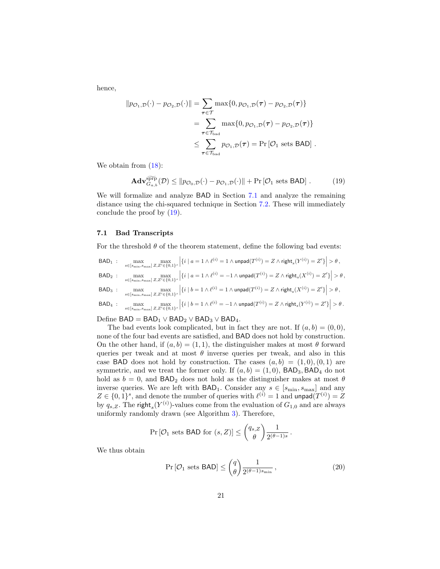hence,

$$
||p_{\mathcal{O}_1,\mathcal{D}}(\cdot) - p_{\mathcal{O}_2,\mathcal{D}}(\cdot)|| = \sum_{\tau \in \mathcal{T}} \max\{0, p_{\mathcal{O}_1,\mathcal{D}}(\tau) - p_{\mathcal{O}_2,\mathcal{D}}(\tau)\}
$$
  
= 
$$
\sum_{\tau \in \mathcal{T}_{\text{bad}}} \max\{0, p_{\mathcal{O}_1,\mathcal{D}}(\tau) - p_{\mathcal{O}_2,\mathcal{D}}(\tau)\}
$$
  

$$
\leq \sum_{\tau \in \mathcal{T}_{\text{bad}}} p_{\mathcal{O}_1,\mathcal{D}}(\tau) = \Pr[\mathcal{O}_1 \text{ sets BAD}].
$$

We obtain from  $(18)$ :

<span id="page-20-1"></span>
$$
\mathbf{Adv}_{G_{a,b}}^{\mathrm{spp}}(\mathcal{D}) \le ||p_{\mathcal{O}_0,\mathcal{D}}(\cdot) - p_{\mathcal{O}_1,\mathcal{D}}(\cdot)|| + \Pr\left[\mathcal{O}_1 \text{ sets BAD}\right]. \tag{19}
$$

We will formalize and analyze BAD in Section [7.1](#page-20-0) and analyze the remaining distance using the chi-squared technique in Section [7.2.](#page-21-0) These will immediately conclude the proof by [\(19\)](#page-20-1).

#### <span id="page-20-0"></span>7.1 Bad Transcripts

For the threshold  $\theta$  of the theorem statement, define the following bad events:

$$
\text{BAD}_1\;:\quad\max_{s\in[s_{\min},s_{\max}]} \max_{Z,Z'\in\{0,1\}^s}\left|\{i\mid a=1 \wedge \ell^{(i)}=1 \wedge \text{unpad}(T^{(i)})=Z \wedge \text{right}_s(Y^{(i)})=Z'\}\right|>\theta\,,
$$

$$
\mathsf{BAD}_2\ :\quad \max_{s\in [s_{\min},s_{\max}]} \max_{Z,Z'\in \{0,1\}^s}\left|\{i\mid a=1 \wedge \ell^{(i)}=-1 \wedge \mathsf{unpad}(T^{(i)})=Z \wedge \mathsf{right}_s(X^{(i)})=Z'\}\right|>\theta\,,
$$

$$
\mathsf{BAD}_3\ :\quad \max_{s\in [s_{\min},s_{\max}]} \max_{Z,Z'\in \{0,1\}^s} \left|\{i\mid b=1 \wedge \ell^{(i)}=1 \wedge \mathsf{unpad}(T^{(i)})=Z \wedge \mathsf{right}_s(X^{(i)})=Z'\}\right|>\theta\,,
$$

$$
\mathsf{BAD}_4\ :\quad \max_{s\in[s_{\min},s_{\max}]} \max_{Z,Z'\in\{0,1\}^s}\left|\{i\mid b=1 \wedge \ell^{(i)}=-1 \wedge \mathsf{unpad}(T^{(i)})=Z \wedge \mathsf{right}_s(Y^{(i)})=Z'\}\right|>\theta\,.
$$

Define  $BAD = BAD_1 \vee BAD_2 \vee BAD_3 \vee BAD_4$ .

The bad events look complicated, but in fact they are not. If  $(a, b) = (0, 0)$ , none of the four bad events are satisfied, and BAD does not hold by construction. On the other hand, if  $(a, b) = (1, 1)$ , the distinguisher makes at most  $\theta$  forward queries per tweak and at most  $\theta$  inverse queries per tweak, and also in this case BAD does not hold by construction. The cases  $(a, b) = (1, 0), (0, 1)$  are symmetric, and we treat the former only. If  $(a, b) = (1, 0)$ ,  $BAD_3, BAD_4$  do not hold as  $b = 0$ , and  $BAD_2$  does not hold as the distinguisher makes at most  $\theta$ inverse queries. We are left with  $BAD_1$ . Consider any  $s \in [s_{\min}, s_{\max}]$  and any  $Z \in \{0,1\}^s$ , and denote the number of queries with  $\ell^{(i)} = 1$  and unpad $(T^{(i)}) = Z$ by  $q_{s,Z}$ . The right<sub>s</sub> $(Y^{(i)})$ -values come from the evaluation of  $G_{1,0}$  and are always uniformly randomly drawn (see Algorithm [3\)](#page-10-1). Therefore,

$$
\Pr\left[\mathcal{O}_1 \text{ sets BAD for } (s, Z)\right] \le \binom{q_{s, Z}}{\theta} \frac{1}{2^{(\theta - 1)s}}.
$$

We thus obtain

$$
\Pr\left[\mathcal{O}_1 \text{ sets BAD}\right] \le \binom{q}{\theta} \frac{1}{2^{(\theta - 1)s_{\min}}},\tag{20}
$$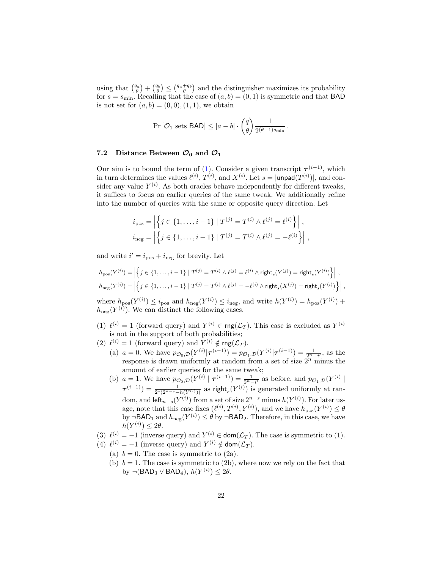using that  $\binom{q_a}{\theta} + \binom{q_b}{\theta} \leq \binom{q_a+q_b}{\theta}$  and the distinguisher maximizes its probability for  $s = s_{\text{min}}$ . Recalling that the case of  $(a, b) = (0, 1)$  is symmetric and that **BAD** is not set for  $(a, b) = (0, 0), (1, 1)$ , we obtain

$$
\Pr\left[\mathcal{O}_1 \text{ sets BAD}\right] \leq |a - b| \cdot \binom{q}{\theta} \frac{1}{2^{(\theta - 1)s_{\min}}}\,.
$$

#### <span id="page-21-0"></span>7.2 Distance Between  $\mathcal{O}_0$  and  $\mathcal{O}_1$

Our aim is to bound the term of [\(1\)](#page-6-1). Consider a given transcript  $\tau^{(i-1)}$ , which in turn determines the values  $\ell^{(i)}$ ,  $T^{(i)}$ , and  $X^{(i)}$ . Let  $s = |$ unpad $(T^{(i)})|$ , and consider any value  $Y^{(i)}$ . As both oracles behave independently for different tweaks, it suffices to focus on earlier queries of the same tweak. We additionally refine into the number of queries with the same or opposite query direction. Let

$$
i_{\text{pos}} = \left| \left\{ j \in \{1, \dots, i-1\} \mid T^{(j)} = T^{(i)} \land \ell^{(j)} = \ell^{(i)} \right\} \right|,
$$
  

$$
i_{\text{neg}} = \left| \left\{ j \in \{1, \dots, i-1\} \mid T^{(j)} = T^{(i)} \land \ell^{(j)} = -\ell^{(i)} \right\} \right|,
$$

and write  $i' = i_{\text{pos}} + i_{\text{neg}}$  for brevity. Let

$$
h_{\text{pos}}(Y^{(i)}) = \left| \left\{ j \in \{1, ..., i-1\} \mid T^{(j)} = T^{(i)} \land \ell^{(j)} = \ell^{(i)} \land \text{right}_s(Y^{(j)}) = \text{right}_s(Y^{(i)}) \right\} \right|,
$$
  

$$
h_{\text{neg}}(Y^{(i)}) = \left| \left\{ j \in \{1, ..., i-1\} \mid T^{(j)} = T^{(i)} \land \ell^{(j)} = -\ell^{(i)} \land \text{right}_s(X^{(j)}) = \text{right}_s(Y^{(i)}) \right\} \right|,
$$

where  $h_{\text{pos}}(Y^{(i)}) \leq i_{\text{pos}}$  and  $h_{\text{neg}}(Y^{(i)}) \leq i_{\text{neg}}$ , and write  $h(Y^{(i)}) = h_{\text{pos}}(Y^{(i)}) +$  $h_{\text{neg}}(Y^{(i)})$ . We can distinct the following cases.

- (1)  $\ell^{(i)} = 1$  (forward query) and  $Y^{(i)} \in \text{rng}(\mathcal{L}_T)$ . This case is excluded as  $Y^{(i)}$ is not in the support of both probabilities;
- (2)  $\ell^{(i)} = 1$  (forward query) and  $Y^{(i)} \notin \text{rng}(\mathcal{L}_T)$ .
	- (a)  $a = 0$ . We have  $p_{\mathcal{O}_0, \mathcal{D}}(Y^{(i)} | \tau^{(i-1)}) = p_{\mathcal{O}_1, \mathcal{D}}(Y^{(i)} | \tau^{(i-1)}) = \frac{1}{2^{n} i'}$ , as the response is drawn uniformly at random from a set of size  $2^n$  minus the amount of earlier queries for the same tweak;
	- (b)  $a = 1$ . We have  $p_{\mathcal{O}_0, \mathcal{D}}(Y^{(i)} | \tau^{(i-1)}) = \frac{1}{2^n i'}$  as before, and  $p_{\mathcal{O}_1, \mathcal{D}}(Y^{(i)} |$  $\tau^{(i-1)}$ ) =  $\frac{1}{2^s(2^{n-s}-h(Y^{(i)}))}$  as right<sub>s</sub> $(Y^{(i)})$  is generated uniformly at random, and  $\mathsf{left}_{n-s}(Y^{(i)})$  from a set of size  $2^{n-s}$  minus  $h(Y^{(i)})$ . For later usage, note that this case fixes  $(\ell^{(i)}, T^{(i)}, Y^{(i)})$ , and we have  $h_{\text{pos}}(Y^{(i)}) \leq \theta$ by  $\neg$ BAD<sub>1</sub> and  $h_{\text{neg}}(Y^{(i)}) \le \theta$  by  $\neg$ BAD<sub>2</sub>. Therefore, in this case, we have  $h(Y^{(i)}) \leq 2\theta.$
- (3)  $\ell^{(i)} = -1$  (inverse query) and  $Y^{(i)} \in \text{dom}(\mathcal{L}_T)$ . The case is symmetric to (1).
- (4)  $\ell^{(i)} = -1$  (inverse query) and  $Y^{(i)} \notin \text{dom}(\mathcal{L}_T)$ .
	- (a)  $b = 0$ . The case is symmetric to  $(2a)$ .
	- (b)  $b = 1$ . The case is symmetric to (2b), where now we rely on the fact that by  $\neg(BAD_3 \vee BAD_4), h(Y^{(i)}) \leq 2\theta$ .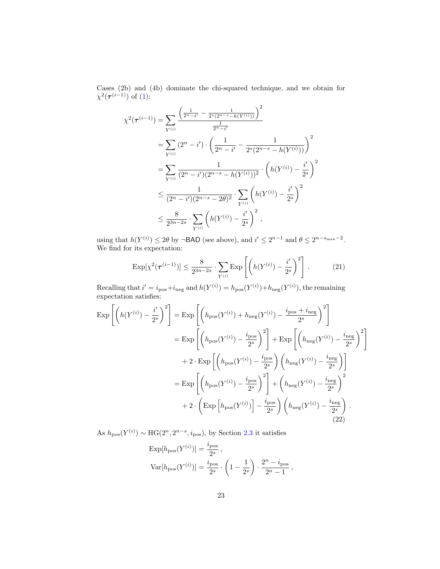Cases (2b) and (4b) dominate the chi-squared technique, and we obtain for  $\chi^2(\tau^{(i-1)})$  of [\(1\)](#page-6-1):

$$
\chi^{2}(\tau^{(i-1)}) = \sum_{Y^{(i)}} \frac{\left(\frac{1}{2^{n}-i'} - \frac{1}{2^{s}(2^{n-s}-h(Y^{(i)}))}\right)^{2}}{\frac{1}{2^{n}-i'}}\n= \sum_{Y^{(i)}} (2^{n}-i') \cdot \left(\frac{1}{2^{n}-i'} - \frac{1}{2^{s}(2^{n-s}-h(Y^{(i)}))}\right)^{2}\n= \sum_{Y^{(i)}} \frac{1}{(2^{n}-i')(2^{n-s}-h(Y^{(i)}))^{2}} \cdot \left(h(Y^{(i)}) - \frac{i'}{2^{s}}\right)^{2}\n\leq \frac{1}{(2^{n}-i')(2^{n-s}-2\theta)^{2}} \cdot \sum_{Y^{(i)}} \left(h(Y^{(i)}) - \frac{i'}{2^{s}}\right)^{2}\n\leq \frac{8}{2^{3n-2s}} \cdot \sum_{Y^{(i)}} \left(h(Y^{(i)}) - \frac{i'}{2^{s}}\right)^{2},
$$

using that  $h(Y^{(i)}) \leq 2\theta$  by  $\neg$ BAD (see above), and  $i' \leq 2^{n-1}$  and  $\theta \leq 2^{n-s_{\max}-2}$ . We find for its expectation:

<span id="page-22-0"></span>
$$
\exp[\chi^2(\tau^{(i-1)})] \le \frac{8}{2^{3n-2s}} \cdot \sum_{Y^{(i)}} \exp\left[\left(h(Y^{(i)}) - \frac{i'}{2^s}\right)^2\right].
$$
 (21)

Recalling that  $i' = i_{pos} + i_{neg}$  and  $h(Y^{(i)}) = h_{pos}(Y^{(i)}) + h_{neg}(Y^{(i)})$ , the remaining expectation satisfies:

$$
\exp\left[\left(h(Y^{(i)}) - \frac{i'}{2^s}\right)^2\right] = \exp\left[\left(h_{\text{pos}}(Y^{(i)}) + h_{\text{neg}}(Y^{(i)}) - \frac{i_{\text{pos}} + i_{\text{neg}}}{2^s}\right)^2\right]
$$
  
\n
$$
= \exp\left[\left(h_{\text{pos}}(Y^{(i)}) - \frac{i_{\text{pos}}}{2^s}\right)^2\right] + \exp\left[\left(h_{\text{neg}}(Y^{(i)}) - \frac{i_{\text{neg}}}{2^s}\right)^2\right]
$$
  
\n
$$
+ 2 \cdot \exp\left[\left(h_{\text{pos}}(Y^{(i)}) - \frac{i_{\text{pos}}}{2^s}\right)\left(h_{\text{neg}}(Y^{(i)}) - \frac{i_{\text{neg}}}{2^s}\right)\right]
$$
  
\n
$$
= \exp\left[\left(h_{\text{pos}}(Y^{(i)}) - \frac{i_{\text{pos}}}{2^s}\right)^2\right] + \left(h_{\text{neg}}(Y^{(i)}) - \frac{i_{\text{neg}}}{2^s}\right)^2
$$
  
\n
$$
+ 2 \cdot \left(\exp\left[h_{\text{pos}}(Y^{(i)})\right] - \frac{i_{\text{pos}}}{2^s}\right)\left(h_{\text{neg}}(Y^{(i)}) - \frac{i_{\text{neg}}}{2^s}\right).
$$
  
\n(22)

As  $h_{\text{pos}}(Y^{(i)}) \sim \text{HG}(2^n, 2^{n-s}, i_{\text{pos}})$ , by Section [2.3](#page-7-2) it satisfies

<span id="page-22-1"></span>
$$
\begin{aligned} \text{Exp}[h_{\text{pos}}(Y^{(i)})] &= \frac{i_{\text{pos}}}{2^s} \,, \\ \text{Var}[h_{\text{pos}}(Y^{(i)})] &= \frac{i_{\text{pos}}}{2^s} \cdot \left(1 - \frac{1}{2^s}\right) \cdot \frac{2^n - i_{\text{pos}}}{2^n - 1} \,, \end{aligned}
$$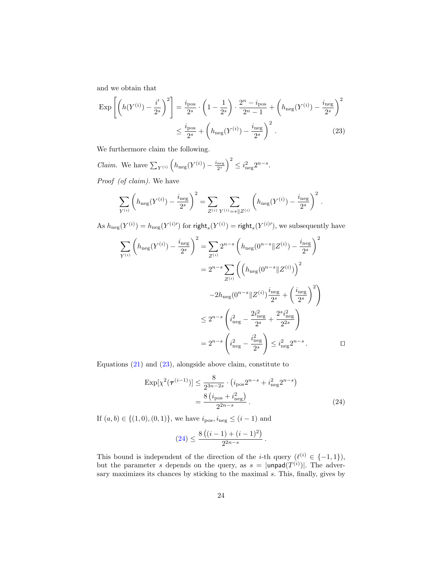and we obtain that

$$
\exp\left[\left(h(Y^{(i)}) - \frac{i'}{2^s}\right)^2\right] = \frac{i_{\text{pos}}}{2^s} \cdot \left(1 - \frac{1}{2^s}\right) \cdot \frac{2^n - i_{\text{pos}}}{2^n - 1} + \left(h_{\text{neg}}(Y^{(i)}) - \frac{i_{\text{neg}}}{2^s}\right)^2
$$

$$
\leq \frac{i_{\text{pos}}}{2^s} + \left(h_{\text{neg}}(Y^{(i)}) - \frac{i_{\text{neg}}}{2^s}\right)^2. \tag{23}
$$

We furthermore claim the following.

*Claim.* We have  $\sum_{Y^{(i)}} \left( h_{\text{neg}}(Y^{(i)}) - \frac{i_{\text{neg}}}{2^s} \right)^2 \leq i_{\text{neg}}^2 2^{n-s}$ .

Proof (of claim). We have

$$
\sum_{Y^{(i)}} \left( h_{\text{neg}}(Y^{(i)}) - \frac{i_{\text{neg}}}{2^s} \right)^2 = \sum_{Z^{(i)}} \sum_{Y^{(i)} = * \| Z^{(i)}|} \left( h_{\text{neg}}(Y^{(i)}) - \frac{i_{\text{neg}}}{2^s} \right)^2
$$

<span id="page-23-0"></span>.

As  $h_{\text{neg}}(Y^{(i)}) = h_{\text{neg}}(Y^{(i)\prime})$  for right<sub>s</sub> $(Y^{(i)}) = \text{right}_s(Y^{(i)\prime})$ , we subsequently have

$$
\sum_{Y^{(i)}} \left( h_{\text{neg}}(Y^{(i)}) - \frac{i_{\text{neg}}}{2^s} \right)^2 = \sum_{Z^{(i)}} 2^{n-s} \left( h_{\text{neg}}(0^{n-s} \| Z^{(i)}) - \frac{i_{\text{neg}}}{2^s} \right)^2
$$
  

$$
= 2^{n-s} \sum_{Z^{(i)}} \left( \left( h_{\text{neg}}(0^{n-s} \| Z^{(i)}) \right)^2
$$
  

$$
-2h_{\text{neg}}(0^{n-s} \| Z^{(i)}) \frac{i_{\text{neg}}}{2^s} + \left( \frac{i_{\text{neg}}}{2^s} \right)^2 \right)
$$
  

$$
\leq 2^{n-s} \left( i_{\text{neg}}^2 - \frac{2i_{\text{neg}}^2}{2^s} + \frac{2^s i_{\text{neg}}^2}{2^{2s}} \right)
$$
  

$$
= 2^{n-s} \left( i_{\text{neg}}^2 - \frac{i_{\text{neg}}^2}{2^s} \right) \leq i_{\text{neg}}^2 2^{n-s} . \qquad \Box
$$

Equations [\(21\)](#page-22-0) and [\(23\)](#page-23-0), alongside above claim, constitute to

$$
\exp[\chi^2(\tau^{(i-1)})] \le \frac{8}{2^{3n-2s}} \cdot (i_{\text{pos}} 2^{n-s} + i_{\text{neg}}^2 2^{n-s})
$$

$$
= \frac{8 (i_{\text{pos}} + i_{\text{neg}}^2)}{2^{2n-s}}.
$$
(24)

If  $(a, b) \in \{(1, 0), (0, 1)\}\$ , we have  $i_{\text{pos}}$ ,  $i_{\text{neg}} \leq (i - 1)$  and

<span id="page-23-1"></span>
$$
(24) \le \frac{8 ((i - 1) + (i - 1)^2)}{2^{2n - s}}.
$$

This bound is independent of the direction of the *i*-th query  $(\ell^{(i)} \in \{-1,1\}),$ but the parameter s depends on the query, as  $s = |$ unpad $(T^{(i)})|$ . The adversary maximizes its chances by sticking to the maximal  $s$ . This, finally, gives by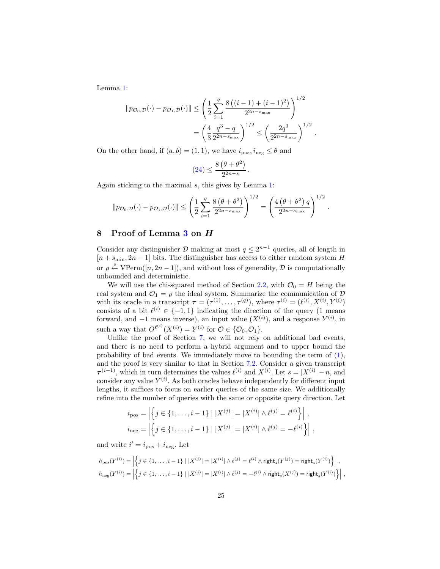Lemma [1:](#page-6-2)

$$
||p_{\mathcal{O}_0,\mathcal{D}}(\cdot) - p_{\mathcal{O}_1,\mathcal{D}}(\cdot)|| \le \left(\frac{1}{2}\sum_{i=1}^q \frac{8\left((i-1) + (i-1)^2\right)}{2^{2n - s_{\text{max}}}}\right)^{1/2}
$$
  
=  $\left(\frac{4}{3}\frac{q^3 - q}{2^{2n - s_{\text{max}}}}\right)^{1/2} \le \left(\frac{2q^3}{2^{2n - s_{\text{max}}}}\right)^{1/2}.$ 

On the other hand, if  $(a, b) = (1, 1)$ , we have  $i_{\text{pos}}$ ,  $i_{\text{neg}} \leq \theta$  and

$$
(24) \le \frac{8\left(\theta + \theta^2\right)}{2^{2n-s}}.
$$

Again sticking to the maximal  $s$ , this gives by Lemma [1:](#page-6-2)

$$
||p_{\mathcal{O}_0,\mathcal{D}}(\cdot) - p_{\mathcal{O}_1,\mathcal{D}}(\cdot)|| \le \left(\frac{1}{2}\sum_{i=1}^q \frac{8(\theta + \theta^2)}{2^{2n - s_{\max}}}\right)^{1/2} = \left(\frac{4(\theta + \theta^2) q}{2^{2n - s_{\max}}}\right)^{1/2}.
$$

# <span id="page-24-0"></span>8 Proof of Lemma [3](#page-11-4) on H

Consider any distinguisher  $D$  making at most  $q \leq 2^{n-1}$  queries, all of length in  $[n + s_{\min}, 2n - 1]$  bits. The distinguisher has access to either random system H or  $\rho \stackrel{\hspace{0.1em}\mathsf{\scriptscriptstyle\$}}{\leftarrow}$  VPerm([n, 2n - 1]), and without loss of generality,  $D$  is computationally unbounded and deterministic.

We will use the chi-squared method of Section [2.2,](#page-6-0) with  $\mathcal{O}_0 = H$  being the real system and  $\mathcal{O}_1 = \rho$  the ideal system. Summarize the communication of  $\mathcal D$ with its oracle in a transcript  $\boldsymbol{\tau} = (\tau^{(1)}, \ldots, \tau^{(q)}),$  where  $\tau^{(i)} = (\ell^{(i)}, X^{(i)}, Y^{(i)})$ consists of a bit  $\ell^{(i)} \in \{-1,1\}$  indicating the direction of the query (1 means forward, and  $-1$  means inverse), an input value  $(X^{(i)})$ , and a response  $Y^{(i)}$ , in such a way that  $O^{\ell^{(i)}}(X^{(i)}) = Y^{(i)}$  for  $\mathcal{O} \in \{O_0, O_1\}.$ 

Unlike the proof of Section [7,](#page-19-0) we will not rely on additional bad events, and there is no need to perform a hybrid argument and to upper bound the probability of bad events. We immediately move to bounding the term of [\(1\)](#page-6-1), and the proof is very similar to that in Section [7.2.](#page-21-0) Consider a given transcript  $\tau^{(i-1)}$ , which in turn determines the values  $\ell^{(i)}$  and  $X^{(i)}$ . Let  $s = |X^{(i)}| - n$ , and consider any value  $Y^{(i)}$ . As both oracles behave independently for different input lengths, it suffices to focus on earlier queries of the same size. We additionally refine into the number of queries with the same or opposite query direction. Let

$$
i_{\text{pos}} = \left| \left\{ j \in \{1, \ldots, i-1\} \mid |X^{(j)}| = |X^{(i)}| \wedge \ell^{(j)} = \ell^{(i)} \right\} \right|,
$$
  

$$
i_{\text{neg}} = \left| \left\{ j \in \{1, \ldots, i-1\} \mid |X^{(j)}| = |X^{(i)}| \wedge \ell^{(j)} = -\ell^{(i)} \right\} \right|,
$$

and write  $i' = i_{\text{pos}} + i_{\text{neg}}$ . Let

$$
h_{\text{pos}}(Y^{(i)}) = \left| \left\{ j \in \{1, ..., i-1\} \mid |X^{(j)}| = |X^{(i)}| \land \ell^{(j)} = \ell^{(i)} \land \text{right}_s(Y^{(j)}) = \text{right}_s(Y^{(i)}) \right\} \right|,
$$
  

$$
h_{\text{neg}}(Y^{(i)}) = \left| \left\{ j \in \{1, ..., i-1\} \mid |X^{(j)}| = |X^{(i)}| \land \ell^{(j)} = -\ell^{(i)} \land \text{right}_s(X^{(j)}) = \text{right}_s(Y^{(i)}) \right\} \right|,
$$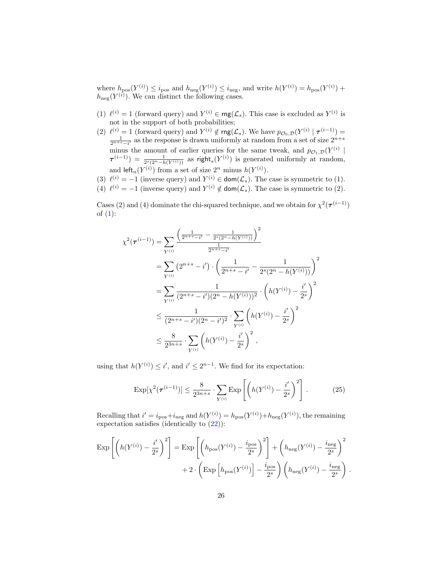where  $h_{\text{pos}}(Y^{(i)}) \leq i_{\text{pos}}$  and  $h_{\text{neg}}(Y^{(i)}) \leq i_{\text{neg}}$ , and write  $h(Y^{(i)}) = h_{\text{pos}}(Y^{(i)}) +$  $h_{\text{neg}}(Y^{(i)})$ . We can distinct the following cases.

- (1)  $\ell^{(i)} = 1$  (forward query) and  $Y^{(i)} \in \text{rng}(\mathcal{L}_s)$ . This case is excluded as  $Y^{(i)}$  is not in the support of both probabilities;
- (2)  $\ell^{(i)} = 1$  (forward query) and  $Y^{(i)} \notin \text{rng}(\mathcal{L}_s)$ . We have  $p_{\mathcal{O}_0,\mathcal{D}}(Y^{(i)} | \tau^{(i-1)}) =$  $\frac{1}{2^{n+s}-i'}$  as the response is drawn uniformly at random from a set of size  $2^{n+s}$ minus the amount of earlier queries for the same tweak, and  $p_{\mathcal{O}_1,\mathcal{D}}(Y^{(i)} |$  $\tau^{(i-1)}$ ) =  $\frac{1}{2^s(2^n - h(Y^{(i)}))}$  as right<sub>s</sub> $(Y^{(i)})$  is generated uniformly at random, and  $\operatorname{left}_n(Y^{(i)})$  from a set of size  $2^n$  minus  $h(Y^{(i)})$ .
- (3)  $\ell^{(i)} = -1$  (inverse query) and  $Y^{(i)} \in \text{dom}(\mathcal{L}_s)$ . The case is symmetric to (1).
- (4)  $\ell^{(i)} = -1$  (inverse query) and  $Y^{(i)} \notin \text{dom}(\mathcal{L}_s)$ . The case is symmetric to (2).

Cases (2) and (4) dominate the chi-squared technique, and we obtain for  $\chi^2(\tau^{(i-1)})$ of  $(1)$ :

$$
\chi^{2}(\tau^{(i-1)}) = \sum_{Y^{(i)}} \frac{\left(\frac{1}{2^{n+s}-i'} - \frac{1}{2^{s}(2^{n}-h(Y^{(i)}))}\right)^{2}}{\frac{1}{2^{n+s}-i'}}\n= \sum_{Y^{(i)}} (2^{n+s}-i') \cdot \left(\frac{1}{2^{n+s}-i'} - \frac{1}{2^{s}(2^{n}-h(Y^{(i)}))}\right)^{2}\n= \sum_{Y^{(i)}} \frac{1}{(2^{n+s}-i')(2^{n}-h(Y^{(i)}))^{2}} \cdot \left(h(Y^{(i)}) - \frac{i'}{2^{s}}\right)^{2}\n\leq \frac{1}{(2^{n+s}-i')(2^{n}-i')^{2}} \cdot \sum_{Y^{(i)}} \left(h(Y^{(i)}) - \frac{i'}{2^{s}}\right)^{2}\n\leq \frac{8}{2^{3n+s}} \cdot \sum_{Y^{(i)}} \left(h(Y^{(i)}) - \frac{i'}{2^{s}}\right)^{2},
$$

using that  $h(Y^{(i)}) \leq i'$ , and  $i' \leq 2^{n-1}$ . We find for its expectation:

<span id="page-25-0"></span>
$$
\exp[\chi^2(\tau^{(i-1)})] \le \frac{8}{2^{3n+s}} \cdot \sum_{Y^{(i)}} \exp\left[\left(h(Y^{(i)}) - \frac{i'}{2^s}\right)^2\right].
$$
 (25)

Recalling that  $i' = i_{\text{pos}} + i_{\text{neg}}$  and  $h(Y^{(i)}) = h_{\text{pos}}(Y^{(i)}) + h_{\text{neg}}(Y^{(i)})$ , the remaining expectation satisfies (identically to  $(22)$ ):

$$
\exp\left[\left(h(Y^{(i)}) - \frac{i'}{2^s}\right)^2\right] = \exp\left[\left(h_{\text{pos}}(Y^{(i)}) - \frac{i_{\text{pos}}}{2^s}\right)^2\right] + \left(h_{\text{neg}}(Y^{(i)}) - \frac{i_{\text{neg}}}{2^s}\right)^2 + 2 \cdot \left(\exp\left[h_{\text{pos}}(Y^{(i)})\right] - \frac{i_{\text{pos}}}{2^s}\right) \left(h_{\text{neg}}(Y^{(i)}) - \frac{i_{\text{neg}}}{2^s}\right).
$$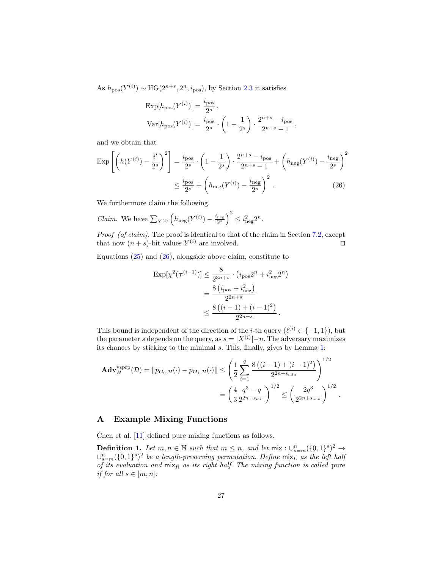As  $h_{\text{pos}}(Y^{(i)}) \sim \text{HG}(2^{n+s}, 2^n, i_{\text{pos}})$ , by Section [2.3](#page-7-2) it satisfies

$$
\begin{aligned} \text{Exp}[h_{\text{pos}}(Y^{(i)})] &= \frac{i_{\text{pos}}}{2^s} \,, \\ \text{Var}[h_{\text{pos}}(Y^{(i)})] &= \frac{i_{\text{pos}}}{2^s} \cdot \left(1 - \frac{1}{2^s}\right) \cdot \frac{2^{n+s} - i_{\text{pos}}}{2^{n+s} - 1} \,, \end{aligned}
$$

and we obtain that

$$
\exp\left[\left(h(Y^{(i)}) - \frac{i'}{2^s}\right)^2\right] = \frac{i_{\text{pos}}}{2^s} \cdot \left(1 - \frac{1}{2^s}\right) \cdot \frac{2^{n+s} - i_{\text{pos}}}{2^{n+s} - 1} + \left(h_{\text{neg}}(Y^{(i)}) - \frac{i_{\text{neg}}}{2^s}\right)^2
$$

$$
\leq \frac{i_{\text{pos}}}{2^s} + \left(h_{\text{neg}}(Y^{(i)}) - \frac{i_{\text{neg}}}{2^s}\right)^2. \tag{26}
$$

We furthermore claim the following.

*Claim.* We have  $\sum_{Y^{(i)}} \left( h_{\text{neg}}(Y^{(i)}) - \frac{i_{\text{neg}}}{2^s} \right)^2 \leq i_{\text{neg}}^2 2^n$ .

Proof (of claim). The proof is identical to that of the claim in Section [7.2,](#page-21-0) except that now  $(n + s)$ -bit values  $Y^{(i)}$  are involved.

Equations  $(25)$  and  $(26)$ , alongside above claim, constitute to

<span id="page-26-1"></span>
$$
\exp[\chi^2(\tau^{(i-1)})] \le \frac{8}{2^{3n+s}} \cdot (i_{\text{pos}} 2^n + i_{\text{neg}}^2 2^n)
$$
  
= 
$$
\frac{8 (i_{\text{pos}} + i_{\text{neg}}^2)}{2^{2n+s}}
$$
  

$$
\le \frac{8 ((i-1) + (i-1)^2)}{2^{2n+s}}.
$$

This bound is independent of the direction of the *i*-th query  $(\ell^{(i)} \in \{-1, 1\})$ , but the parameter s depends on the query, as  $s = |X^{(i)}| - n$ . The adversary maximizes its chances by sticking to the minimal s. This, finally, gives by Lemma [1:](#page-6-2)

$$
\mathbf{Adv}_{H}^{\text{vsprp}}(\mathcal{D}) = \|p_{\mathcal{O}_0, \mathcal{D}}(\cdot) - p_{\mathcal{O}_1, \mathcal{D}}(\cdot)\| \le \left(\frac{1}{2} \sum_{i=1}^{q} \frac{8\left((i-1) + (i-1)^2\right)}{2^{2n + s_{\min}}}\right)^{1/2}
$$

$$
= \left(\frac{4}{3} \frac{q^3 - q}{2^{2n + s_{\min}}}\right)^{1/2} \le \left(\frac{2q^3}{2^{2n + s_{\min}}}\right)^{1/2}
$$

.

### <span id="page-26-0"></span>A Example Mixing Functions

Chen et al. [\[11\]](#page-27-3) defined pure mixing functions as follows.

**Definition 1.** Let  $m, n \in \mathbb{N}$  such that  $m \leq n$ , and let  $m \times \bigcup_{s=m}^{n} (\{0,1\}^s)^2 \to$  $\cup_{s=m}^{n}(\{0,1\}^s)^2$  be a length-preserving permutation. Define  $\textsf{mix}_L$  as the left half of its evaluation and  $\min_R$  as its right half. The mixing function is called pure if for all  $s \in [m, n]$ :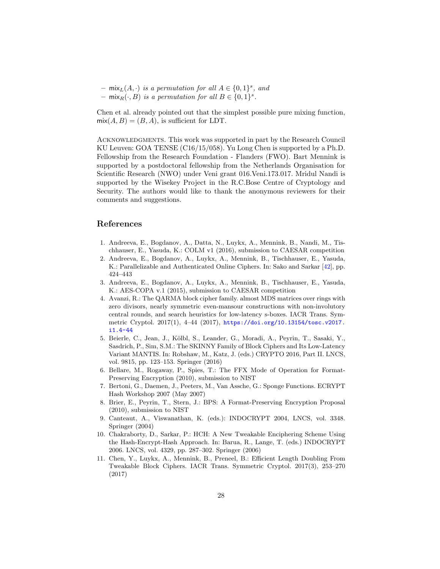$-$  mix<sub>L</sub>(A, ·) is a permutation for all  $A \in \{0,1\}^s$ , and  $-$  mix<sub>R</sub>( $\cdot$ , *B*) is a permutation for all  $B \in \{0,1\}^s$ .

Chen et al. already pointed out that the simplest possible pure mixing function,  $mix(A, B) = (B, A)$ , is sufficient for LDT.

ACKNOWLEDGMENTS. This work was supported in part by the Research Council KU Leuven: GOA TENSE (C16/15/058). Yu Long Chen is supported by a Ph.D. Fellowship from the Research Foundation - Flanders (FWO). Bart Mennink is supported by a postdoctoral fellowship from the Netherlands Organisation for Scientific Research (NWO) under Veni grant 016.Veni.173.017. Mridul Nandi is supported by the Wisekey Project in the R.C.Bose Centre of Cryptology and Security. The authors would like to thank the anonymous reviewers for their comments and suggestions.

# References

- <span id="page-27-0"></span>1. Andreeva, E., Bogdanov, A., Datta, N., Luykx, A., Mennink, B., Nandi, M., Tischhauser, E., Yasuda, K.: COLM v1 (2016), submission to CAESAR competition
- <span id="page-27-1"></span>2. Andreeva, E., Bogdanov, A., Luykx, A., Mennink, B., Tischhauser, E., Yasuda, K.: Parallelizable and Authenticated Online Ciphers. In: Sako and Sarkar [\[42\]](#page-29-15), pp. 424–443
- <span id="page-27-4"></span>3. Andreeva, E., Bogdanov, A., Luykx, A., Mennink, B., Tischhauser, E., Yasuda, K.: AES-COPA v.1 (2015), submission to CAESAR competition
- <span id="page-27-6"></span>4. Avanzi, R.: The QARMA block cipher family. almost MDS matrices over rings with zero divisors, nearly symmetric even-mansour constructions with non-involutory central rounds, and search heuristics for low-latency s-boxes. IACR Trans. Symmetric Cryptol. 2017(1), 4–44 (2017), [https://doi.org/10.13154/tosc.v2017.](https://doi.org/10.13154/tosc.v2017.i1.4-44) [i1.4-44](https://doi.org/10.13154/tosc.v2017.i1.4-44)
- <span id="page-27-5"></span>5. Beierle, C., Jean, J., Kölbl, S., Leander, G., Moradi, A., Peyrin, T., Sasaki, Y., Sasdrich, P., Sim, S.M.: The SKINNY Family of Block Ciphers and Its Low-Latency Variant MANTIS. In: Robshaw, M., Katz, J. (eds.) CRYPTO 2016, Part II. LNCS, vol. 9815, pp. 123–153. Springer (2016)
- <span id="page-27-8"></span>6. Bellare, M., Rogaway, P., Spies, T.: The FFX Mode of Operation for Format-Preserving Encryption (2010), submission to NIST
- <span id="page-27-7"></span>7. Bertoni, G., Daemen, J., Peeters, M., Van Assche, G.: Sponge Functions. ECRYPT Hash Workshop 2007 (May 2007)
- <span id="page-27-9"></span>8. Brier, E., Peyrin, T., Stern, J.: BPS: A Format-Preserving Encryption Proposal (2010), submission to NIST
- <span id="page-27-10"></span>9. Canteaut, A., Viswanathan, K. (eds.): INDOCRYPT 2004, LNCS, vol. 3348. Springer (2004)
- <span id="page-27-2"></span>10. Chakraborty, D., Sarkar, P.: HCH: A New Tweakable Enciphering Scheme Using the Hash-Encrypt-Hash Approach. In: Barua, R., Lange, T. (eds.) INDOCRYPT 2006. LNCS, vol. 4329, pp. 287–302. Springer (2006)
- <span id="page-27-3"></span>11. Chen, Y., Luykx, A., Mennink, B., Preneel, B.: Efficient Length Doubling From Tweakable Block Ciphers. IACR Trans. Symmetric Cryptol. 2017(3), 253–270 (2017)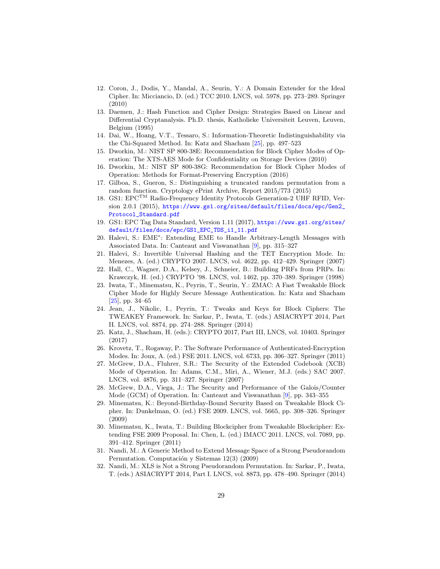- <span id="page-28-15"></span>12. Coron, J., Dodis, Y., Mandal, A., Seurin, Y.: A Domain Extender for the Ideal Cipher. In: Micciancio, D. (ed.) TCC 2010. LNCS, vol. 5978, pp. 273–289. Springer (2010)
- <span id="page-28-3"></span>13. Daemen, J.: Hash Function and Cipher Design: Strategies Based on Linear and Differential Cryptanalysis. Ph.D. thesis, Katholieke Universiteit Leuven, Leuven, Belgium (1995)
- <span id="page-28-11"></span>14. Dai, W., Hoang, V.T., Tessaro, S.: Information-Theoretic Indistinguishability via the Chi-Squared Method. In: Katz and Shacham [\[25\]](#page-28-20), pp. 497–523
- <span id="page-28-1"></span>15. Dworkin, M.: NIST SP 800-38E: Recommendation for Block Cipher Modes of Operation: The XTS-AES Mode for Confidentiality on Storage Devices (2010)
- <span id="page-28-12"></span>16. Dworkin, M.: NIST SP 800-38G: Recommendation for Block Cipher Modes of Operation: Methods for Format-Preserving Encryption (2016)
- <span id="page-28-19"></span>17. Gilboa, S., Gueron, S.: Distinguishing a truncated random permutation from a random function. Cryptology ePrint Archive, Report 2015/773 (2015)
- <span id="page-28-13"></span>18. GS1:  $\mathrm{EPC}^\mathrm{TM}$ Radio-Frequency Identity Protocols Generation-2 UHF RFID, Version 2.0.1 (2015), [https://www.gs1.org/sites/default/files/docs/epc/Gen2\\_](https://www.gs1.org/sites/default/files/docs/epc/Gen2_Protocol_Standard.pdf) [Protocol\\_Standard.pdf](https://www.gs1.org/sites/default/files/docs/epc/Gen2_Protocol_Standard.pdf)
- <span id="page-28-14"></span>19. GS1: EPC Tag Data Standard, Version 1.11 (2017), [https://www.gs1.org/sites/](https://www.gs1.org/sites/default/files/docs/epc/GS1_EPC_TDS_i1_11.pdf) [default/files/docs/epc/GS1\\_EPC\\_TDS\\_i1\\_11.pdf](https://www.gs1.org/sites/default/files/docs/epc/GS1_EPC_TDS_i1_11.pdf)
- <span id="page-28-4"></span>20. Halevi, S.: EME<sup>∗</sup> : Extending EME to Handle Arbitrary-Length Messages with Associated Data. In: Canteaut and Viswanathan [\[9\]](#page-27-10), pp. 315–327
- <span id="page-28-5"></span>21. Halevi, S.: Invertible Universal Hashing and the TET Encryption Mode. In: Menezes, A. (ed.) CRYPTO 2007. LNCS, vol. 4622, pp. 412–429. Springer (2007)
- <span id="page-28-18"></span>22. Hall, C., Wagner, D.A., Kelsey, J., Schneier, B.: Building PRFs from PRPs. In: Krawczyk, H. (ed.) CRYPTO '98. LNCS, vol. 1462, pp. 370–389. Springer (1998)
- <span id="page-28-9"></span>23. Iwata, T., Minematsu, K., Peyrin, T., Seurin, Y.: ZMAC: A Fast Tweakable Block Cipher Mode for Highly Secure Message Authentication. In: Katz and Shacham [\[25\]](#page-28-20), pp. 34–65
- <span id="page-28-10"></span>24. Jean, J., Nikolic, I., Peyrin, T.: Tweaks and Keys for Block Ciphers: The TWEAKEY Framework. In: Sarkar, P., Iwata, T. (eds.) ASIACRYPT 2014, Part II. LNCS, vol. 8874, pp. 274–288. Springer (2014)
- <span id="page-28-20"></span>25. Katz, J., Shacham, H. (eds.): CRYPTO 2017, Part III, LNCS, vol. 10403. Springer (2017)
- <span id="page-28-0"></span>26. Krovetz, T., Rogaway, P.: The Software Performance of Authenticated-Encryption Modes. In: Joux, A. (ed.) FSE 2011. LNCS, vol. 6733, pp. 306–327. Springer (2011)
- <span id="page-28-6"></span>27. McGrew, D.A., Fluhrer, S.R.: The Security of the Extended Codebook (XCB) Mode of Operation. In: Adams, C.M., Miri, A., Wiener, M.J. (eds.) SAC 2007. LNCS, vol. 4876, pp. 311–327. Springer (2007)
- <span id="page-28-2"></span>28. McGrew, D.A., Viega, J.: The Security and Performance of the Galois/Counter Mode (GCM) of Operation. In: Canteaut and Viswanathan [\[9\]](#page-27-10), pp. 343–355
- <span id="page-28-17"></span>29. Minematsu, K.: Beyond-Birthday-Bound Security Based on Tweakable Block Cipher. In: Dunkelman, O. (ed.) FSE 2009. LNCS, vol. 5665, pp. 308–326. Springer (2009)
- <span id="page-28-16"></span>30. Minematsu, K., Iwata, T.: Building Blockcipher from Tweakable Blockcipher: Extending FSE 2009 Proposal. In: Chen, L. (ed.) IMACC 2011. LNCS, vol. 7089, pp. 391–412. Springer (2011)
- <span id="page-28-8"></span>31. Nandi, M.: A Generic Method to Extend Message Space of a Strong Pseudorandom Permutation. Computación y Sistemas 12(3) (2009)
- <span id="page-28-7"></span>32. Nandi, M.: XLS is Not a Strong Pseudorandom Permutation. In: Sarkar, P., Iwata, T. (eds.) ASIACRYPT 2014, Part I. LNCS, vol. 8873, pp. 478–490. Springer (2014)